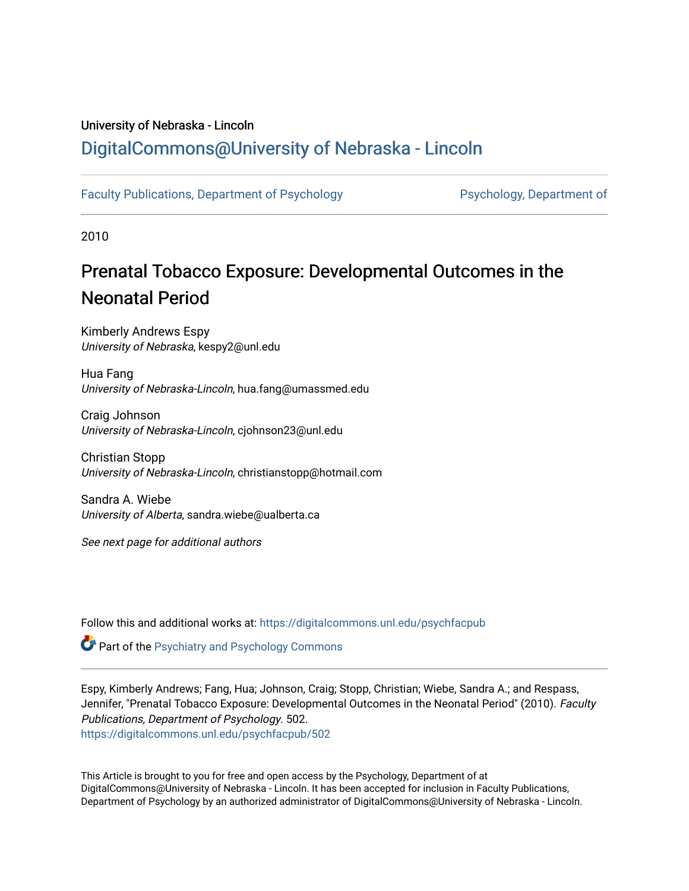## University of Nebraska - Lincoln [DigitalCommons@University of Nebraska - Lincoln](https://digitalcommons.unl.edu/)

[Faculty Publications, Department of Psychology](https://digitalcommons.unl.edu/psychfacpub) **Partment of Psychology**, Department of

2010

# Prenatal Tobacco Exposure: Developmental Outcomes in the Neonatal Period

Kimberly Andrews Espy University of Nebraska, kespy2@unl.edu

Hua Fang University of Nebraska-Lincoln, hua.fang@umassmed.edu

Craig Johnson University of Nebraska-Lincoln, cjohnson23@unl.edu

Christian Stopp University of Nebraska-Lincoln, christianstopp@hotmail.com

Sandra A. Wiebe University of Alberta, sandra.wiebe@ualberta.ca

See next page for additional authors

Follow this and additional works at: [https://digitalcommons.unl.edu/psychfacpub](https://digitalcommons.unl.edu/psychfacpub?utm_source=digitalcommons.unl.edu%2Fpsychfacpub%2F502&utm_medium=PDF&utm_campaign=PDFCoverPages) 

**Part of the Psychiatry and Psychology Commons** 

Espy, Kimberly Andrews; Fang, Hua; Johnson, Craig; Stopp, Christian; Wiebe, Sandra A.; and Respass, Jennifer, "Prenatal Tobacco Exposure: Developmental Outcomes in the Neonatal Period" (2010). Faculty Publications, Department of Psychology. 502. [https://digitalcommons.unl.edu/psychfacpub/502](https://digitalcommons.unl.edu/psychfacpub/502?utm_source=digitalcommons.unl.edu%2Fpsychfacpub%2F502&utm_medium=PDF&utm_campaign=PDFCoverPages) 

This Article is brought to you for free and open access by the Psychology, Department of at DigitalCommons@University of Nebraska - Lincoln. It has been accepted for inclusion in Faculty Publications, Department of Psychology by an authorized administrator of DigitalCommons@University of Nebraska - Lincoln.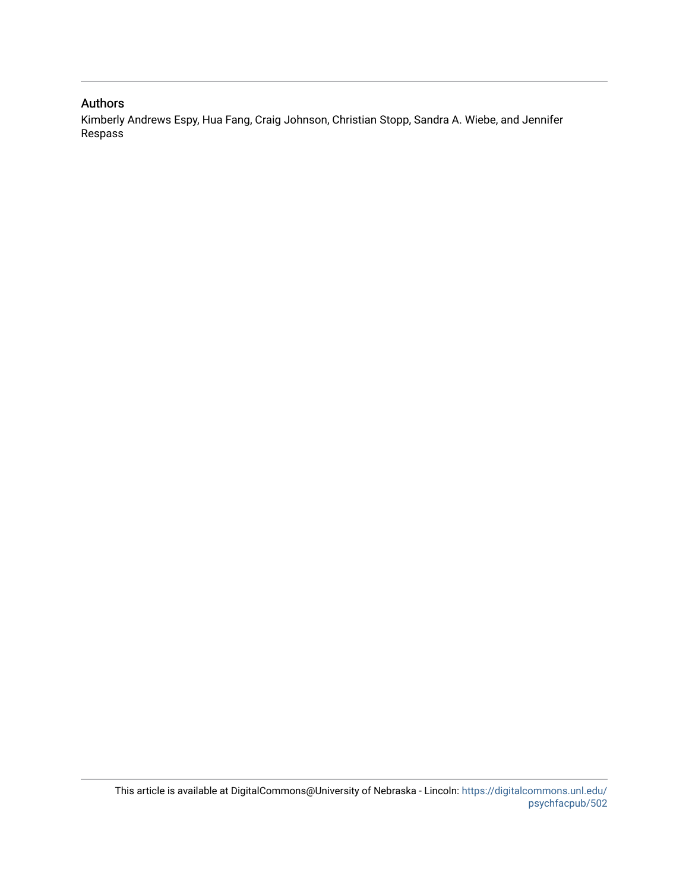### Authors

Kimberly Andrews Espy, Hua Fang, Craig Johnson, Christian Stopp, Sandra A. Wiebe, and Jennifer Respass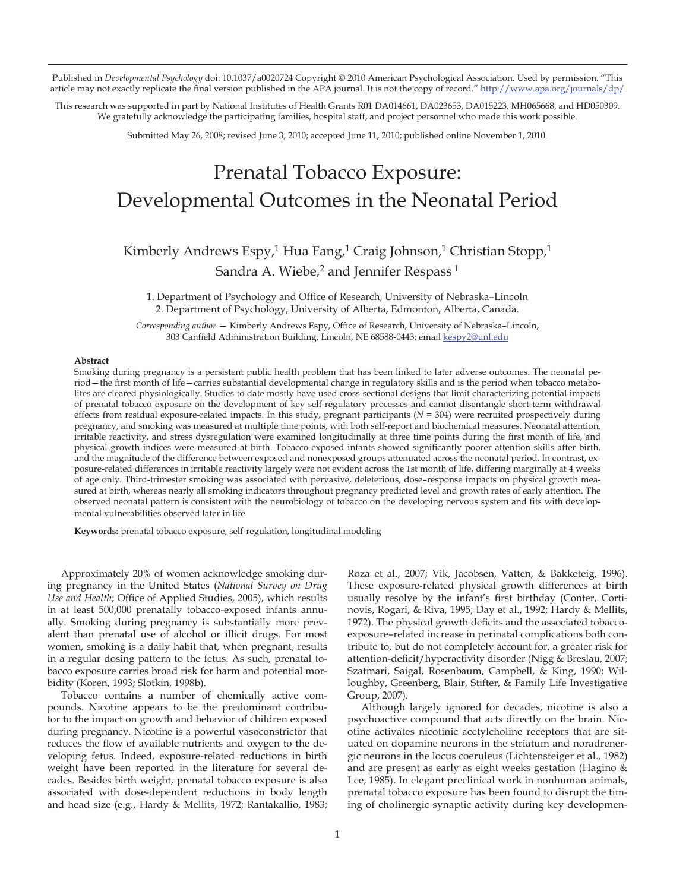Published in *Developmental Psychology* doi: 10.1037/a0020724 Copyright © 2010 American Psychological Association. Used by permission. "This article may not exactly replicate the final version published in the APA journal. It is not the copy of record." http://www.apa.org/journals/dp/

This research was supported in part by National Institutes of Health Grants R01 DA014661, DA023653, DA015223, MH065668, and HD050309. We gratefully acknowledge the participating families, hospital staff, and project personnel who made this work possible.

Submitted May 26, 2008; revised June 3, 2010; accepted June 11, 2010; published online November 1, 2010.

# Prenatal Tobacco Exposure: Developmental Outcomes in the Neonatal Period

### Kimberly Andrews Espy,<sup>1</sup> Hua Fang,<sup>1</sup> Craig Johnson,<sup>1</sup> Christian Stopp,<sup>1</sup> Sandra A. Wiebe,<sup>2</sup> and Jennifer Respass<sup>1</sup>

1. Department of Psychology and Office of Research, University of Nebraska–Lincoln 2. Department of Psychology, University of Alberta, Edmonton, Alberta, Canada.

*Corresponding author* — Kimberly Andrews Espy, Office of Research, University of Nebraska–Lincoln, 303 Canfield Administration Building, Lincoln, NE 68588-0443; email kespy2@unl.edu

#### **Abstract**

Smoking during pregnancy is a persistent public health problem that has been linked to later adverse outcomes. The neonatal period—the first month of life—carries substantial developmental change in regulatory skills and is the period when tobacco metabolites are cleared physiologically. Studies to date mostly have used cross-sectional designs that limit characterizing potential impacts of prenatal tobacco exposure on the development of key self-regulatory processes and cannot disentangle short-term withdrawal effects from residual exposure-related impacts. In this study, pregnant participants (*N =* 304) were recruited prospectively during pregnancy, and smoking was measured at multiple time points, with both self-report and biochemical measures. Neonatal attention, irritable reactivity, and stress dysregulation were examined longitudinally at three time points during the first month of life, and physical growth indices were measured at birth. Tobacco-exposed infants showed significantly poorer attention skills after birth, and the magnitude of the difference between exposed and nonexposed groups attenuated across the neonatal period. In contrast, exposure-related differences in irritable reactivity largely were not evident across the 1st month of life, differing marginally at 4 weeks of age only. Third-trimester smoking was associated with pervasive, deleterious, dose–response impacts on physical growth measured at birth, whereas nearly all smoking indicators throughout pregnancy predicted level and growth rates of early attention. The observed neonatal pattern is consistent with the neurobiology of tobacco on the developing nervous system and fits with developmental vulnerabilities observed later in life.

**Keywords:** prenatal tobacco exposure, self-regulation, longitudinal modeling

Approximately 20% of women acknowledge smoking during pregnancy in the United States (*National Survey on Drug Use and Health*; Office of Applied Studies, 2005), which results in at least 500,000 prenatally tobacco-exposed infants annually. Smoking during pregnancy is substantially more prevalent than prenatal use of alcohol or illicit drugs. For most women, smoking is a daily habit that, when pregnant, results in a regular dosing pattern to the fetus. As such, prenatal tobacco exposure carries broad risk for harm and potential morbidity (Koren, 1993; Slotkin, 1998b).

Tobacco contains a number of chemically active compounds. Nicotine appears to be the predominant contributor to the impact on growth and behavior of children exposed during pregnancy. Nicotine is a powerful vasoconstrictor that reduces the flow of available nutrients and oxygen to the developing fetus. Indeed, exposure-related reductions in birth weight have been reported in the literature for several decades. Besides birth weight, prenatal tobacco exposure is also associated with dose-dependent reductions in body length and head size (e.g., Hardy & Mellits, 1972; Rantakallio, 1983;

Roza et al., 2007; Vik, Jacobsen, Vatten, & Bakketeig, 1996). These exposure-related physical growth differences at birth usually resolve by the infant's first birthday (Conter, Cortinovis, Rogari, & Riva, 1995; Day et al., 1992; Hardy & Mellits, 1972). The physical growth deficits and the associated tobaccoexposure–related increase in perinatal complications both contribute to, but do not completely account for, a greater risk for attention-deficit/hyperactivity disorder (Nigg & Breslau, 2007; Szatmari, Saigal, Rosenbaum, Campbell, & King, 1990; Willoughby, Greenberg, Blair, Stifter, & Family Life Investigative Group, 2007).

Although largely ignored for decades, nicotine is also a psychoactive compound that acts directly on the brain. Nicotine activates nicotinic acetylcholine receptors that are situated on dopamine neurons in the striatum and noradrenergic neurons in the locus coeruleus (Lichtensteiger et al., 1982) and are present as early as eight weeks gestation (Hagino & Lee, 1985). In elegant preclinical work in nonhuman animals, prenatal tobacco exposure has been found to disrupt the timing of cholinergic synaptic activity during key developmen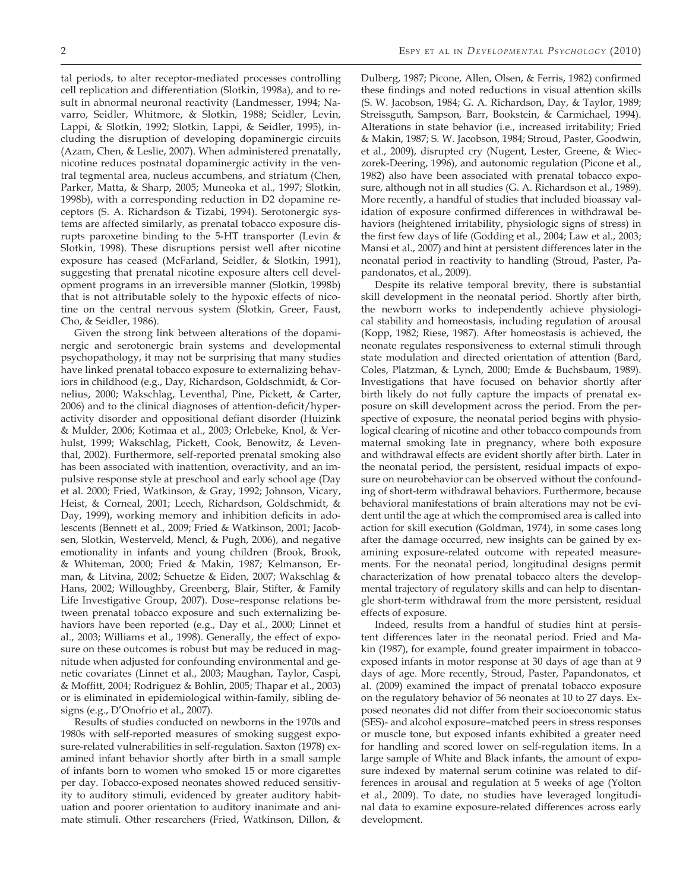tal periods, to alter receptor-mediated processes controlling cell replication and differentiation (Slotkin, 1998a), and to result in abnormal neuronal reactivity (Landmesser, 1994; Navarro, Seidler, Whitmore, & Slotkin, 1988; Seidler, Levin, Lappi, & Slotkin, 1992; Slotkin, Lappi, & Seidler, 1995), including the disruption of developing dopaminergic circuits (Azam, Chen, & Leslie, 2007). When administered prenatally, nicotine reduces postnatal dopaminergic activity in the ventral tegmental area, nucleus accumbens, and striatum (Chen, Parker, Matta, & Sharp, 2005; Muneoka et al., 1997; Slotkin, 1998b), with a corresponding reduction in D2 dopamine receptors (S. A. Richardson & Tizabi, 1994). Serotonergic systems are affected similarly, as prenatal tobacco exposure disrupts paroxetine binding to the 5-HT transporter (Levin & Slotkin, 1998). These disruptions persist well after nicotine exposure has ceased (McFarland, Seidler, & Slotkin, 1991), suggesting that prenatal nicotine exposure alters cell development programs in an irreversible manner (Slotkin, 1998b) that is not attributable solely to the hypoxic effects of nicotine on the central nervous system (Slotkin, Greer, Faust, Cho, & Seidler, 1986).

Given the strong link between alterations of the dopaminergic and serotonergic brain systems and developmental psychopathology, it may not be surprising that many studies have linked prenatal tobacco exposure to externalizing behaviors in childhood (e.g., Day, Richardson, Goldschmidt, & Cornelius, 2000; Wakschlag, Leventhal, Pine, Pickett, & Carter, 2006) and to the clinical diagnoses of attention-deficit/hyperactivity disorder and oppositional defiant disorder (Huizink & Mulder, 2006; Kotimaa et al., 2003; Orlebeke, Knol, & Verhulst, 1999; Wakschlag, Pickett, Cook, Benowitz, & Leventhal, 2002). Furthermore, self-reported prenatal smoking also has been associated with inattention, overactivity, and an impulsive response style at preschool and early school age (Day et al. 2000; Fried, Watkinson, & Gray, 1992; Johnson, Vicary, Heist, & Corneal, 2001; Leech, Richardson, Goldschmidt, & Day, 1999), working memory and inhibition deficits in adolescents (Bennett et al., 2009; Fried & Watkinson, 2001; Jacobsen, Slotkin, Westerveld, Mencl, & Pugh, 2006), and negative emotionality in infants and young children (Brook, Brook, & Whiteman, 2000; Fried & Makin, 1987; Kelmanson, Erman, & Litvina, 2002; Schuetze & Eiden, 2007; Wakschlag & Hans, 2002; Willoughby, Greenberg, Blair, Stifter, & Family Life Investigative Group, 2007). Dose–response relations between prenatal tobacco exposure and such externalizing behaviors have been reported (e.g., Day et al., 2000; Linnet et al., 2003; Williams et al., 1998). Generally, the effect of exposure on these outcomes is robust but may be reduced in magnitude when adjusted for confounding environmental and genetic covariates (Linnet et al., 2003; Maughan, Taylor, Caspi, & Moffitt, 2004; Rodriguez & Bohlin, 2005; Thapar et al., 2003) or is eliminated in epidemiological within-family, sibling designs (e.g., D'Onofrio et al., 2007).

Results of studies conducted on newborns in the 1970s and 1980s with self-reported measures of smoking suggest exposure-related vulnerabilities in self-regulation. Saxton (1978) examined infant behavior shortly after birth in a small sample of infants born to women who smoked 15 or more cigarettes per day. Tobacco-exposed neonates showed reduced sensitivity to auditory stimuli, evidenced by greater auditory habituation and poorer orientation to auditory inanimate and animate stimuli. Other researchers (Fried, Watkinson, Dillon, &

Dulberg, 1987; Picone, Allen, Olsen, & Ferris, 1982) confirmed these findings and noted reductions in visual attention skills (S. W. Jacobson, 1984; G. A. Richardson, Day, & Taylor, 1989; Streissguth, Sampson, Barr, Bookstein, & Carmichael, 1994). Alterations in state behavior (i.e., increased irritability; Fried & Makin, 1987; S. W. Jacobson, 1984; Stroud, Paster, Goodwin, et al., 2009), disrupted cry (Nugent, Lester, Greene, & Wieczorek-Deering, 1996), and autonomic regulation (Picone et al., 1982) also have been associated with prenatal tobacco exposure, although not in all studies (G. A. Richardson et al., 1989). More recently, a handful of studies that included bioassay validation of exposure confirmed differences in withdrawal behaviors (heightened irritability, physiologic signs of stress) in the first few days of life (Godding et al., 2004; Law et al., 2003; Mansi et al., 2007) and hint at persistent differences later in the neonatal period in reactivity to handling (Stroud, Paster, Papandonatos, et al., 2009).

Despite its relative temporal brevity, there is substantial skill development in the neonatal period. Shortly after birth, the newborn works to independently achieve physiological stability and homeostasis, including regulation of arousal (Kopp, 1982; Riese, 1987). After homeostasis is achieved, the neonate regulates responsiveness to external stimuli through state modulation and directed orientation of attention (Bard, Coles, Platzman, & Lynch, 2000; Emde & Buchsbaum, 1989). Investigations that have focused on behavior shortly after birth likely do not fully capture the impacts of prenatal exposure on skill development across the period. From the perspective of exposure, the neonatal period begins with physiological clearing of nicotine and other tobacco compounds from maternal smoking late in pregnancy, where both exposure and withdrawal effects are evident shortly after birth. Later in the neonatal period, the persistent, residual impacts of exposure on neurobehavior can be observed without the confounding of short-term withdrawal behaviors. Furthermore, because behavioral manifestations of brain alterations may not be evident until the age at which the compromised area is called into action for skill execution (Goldman, 1974), in some cases long after the damage occurred, new insights can be gained by examining exposure-related outcome with repeated measurements. For the neonatal period, longitudinal designs permit characterization of how prenatal tobacco alters the developmental trajectory of regulatory skills and can help to disentangle short-term withdrawal from the more persistent, residual effects of exposure.

Indeed, results from a handful of studies hint at persistent differences later in the neonatal period. Fried and Makin (1987), for example, found greater impairment in tobaccoexposed infants in motor response at 30 days of age than at 9 days of age. More recently, Stroud, Paster, Papandonatos, et al. (2009) examined the impact of prenatal tobacco exposure on the regulatory behavior of 56 neonates at 10 to 27 days. Exposed neonates did not differ from their socioeconomic status (SES)- and alcohol exposure–matched peers in stress responses or muscle tone, but exposed infants exhibited a greater need for handling and scored lower on self-regulation items. In a large sample of White and Black infants, the amount of exposure indexed by maternal serum cotinine was related to differences in arousal and regulation at 5 weeks of age (Yolton et al., 2009). To date, no studies have leveraged longitudinal data to examine exposure-related differences across early development.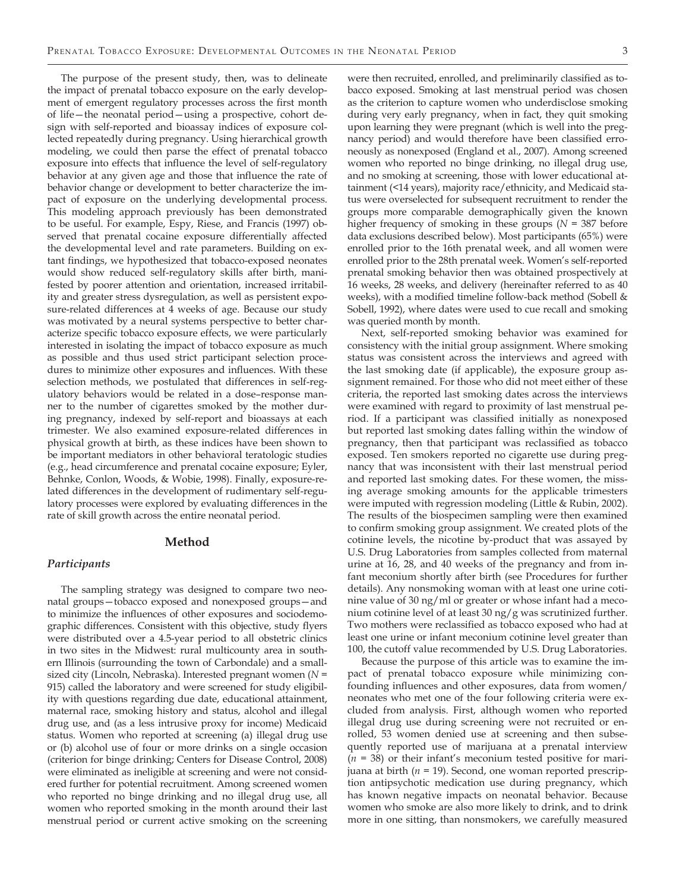The purpose of the present study, then, was to delineate the impact of prenatal tobacco exposure on the early development of emergent regulatory processes across the first month of life—the neonatal period—using a prospective, cohort design with self-reported and bioassay indices of exposure collected repeatedly during pregnancy. Using hierarchical growth modeling, we could then parse the effect of prenatal tobacco exposure into effects that influence the level of self-regulatory behavior at any given age and those that influence the rate of behavior change or development to better characterize the impact of exposure on the underlying developmental process. This modeling approach previously has been demonstrated to be useful. For example, Espy, Riese, and Francis (1997) observed that prenatal cocaine exposure differentially affected the developmental level and rate parameters. Building on extant findings, we hypothesized that tobacco-exposed neonates would show reduced self-regulatory skills after birth, manifested by poorer attention and orientation, increased irritability and greater stress dysregulation, as well as persistent exposure-related differences at 4 weeks of age. Because our study was motivated by a neural systems perspective to better characterize specific tobacco exposure effects, we were particularly interested in isolating the impact of tobacco exposure as much as possible and thus used strict participant selection procedures to minimize other exposures and influences. With these selection methods, we postulated that differences in self-regulatory behaviors would be related in a dose–response manner to the number of cigarettes smoked by the mother during pregnancy, indexed by self-report and bioassays at each trimester. We also examined exposure-related differences in physical growth at birth, as these indices have been shown to be important mediators in other behavioral teratologic studies (e.g., head circumference and prenatal cocaine exposure; Eyler, Behnke, Conlon, Woods, & Wobie, 1998). Finally, exposure-related differences in the development of rudimentary self-regulatory processes were explored by evaluating differences in the rate of skill growth across the entire neonatal period.

#### **Method**

#### *Participants*

The sampling strategy was designed to compare two neonatal groups—tobacco exposed and nonexposed groups—and to minimize the influences of other exposures and sociodemographic differences. Consistent with this objective, study flyers were distributed over a 4.5-year period to all obstetric clinics in two sites in the Midwest: rural multicounty area in southern Illinois (surrounding the town of Carbondale) and a smallsized city (Lincoln, Nebraska). Interested pregnant women (*N =* 915) called the laboratory and were screened for study eligibility with questions regarding due date, educational attainment, maternal race, smoking history and status, alcohol and illegal drug use, and (as a less intrusive proxy for income) Medicaid status. Women who reported at screening (a) illegal drug use or (b) alcohol use of four or more drinks on a single occasion (criterion for binge drinking; Centers for Disease Control, 2008) were eliminated as ineligible at screening and were not considered further for potential recruitment. Among screened women who reported no binge drinking and no illegal drug use, all women who reported smoking in the month around their last menstrual period or current active smoking on the screening

were then recruited, enrolled, and preliminarily classified as tobacco exposed. Smoking at last menstrual period was chosen as the criterion to capture women who underdisclose smoking during very early pregnancy, when in fact, they quit smoking upon learning they were pregnant (which is well into the pregnancy period) and would therefore have been classified erroneously as nonexposed (England et al., 2007). Among screened women who reported no binge drinking, no illegal drug use, and no smoking at screening, those with lower educational attainment (<14 years), majority race/ethnicity, and Medicaid status were overselected for subsequent recruitment to render the groups more comparable demographically given the known higher frequency of smoking in these groups (*N* = 387 before data exclusions described below). Most participants (65%) were enrolled prior to the 16th prenatal week, and all women were enrolled prior to the 28th prenatal week. Women's self-reported prenatal smoking behavior then was obtained prospectively at 16 weeks, 28 weeks, and delivery (hereinafter referred to as 40 weeks), with a modified timeline follow-back method (Sobell & Sobell, 1992), where dates were used to cue recall and smoking was queried month by month.

Next, self-reported smoking behavior was examined for consistency with the initial group assignment. Where smoking status was consistent across the interviews and agreed with the last smoking date (if applicable), the exposure group assignment remained. For those who did not meet either of these criteria, the reported last smoking dates across the interviews were examined with regard to proximity of last menstrual period. If a participant was classified initially as nonexposed but reported last smoking dates falling within the window of pregnancy, then that participant was reclassified as tobacco exposed. Ten smokers reported no cigarette use during pregnancy that was inconsistent with their last menstrual period and reported last smoking dates. For these women, the missing average smoking amounts for the applicable trimesters were imputed with regression modeling (Little & Rubin, 2002). The results of the biospecimen sampling were then examined to confirm smoking group assignment. We created plots of the cotinine levels, the nicotine by-product that was assayed by U.S. Drug Laboratories from samples collected from maternal urine at 16, 28, and 40 weeks of the pregnancy and from infant meconium shortly after birth (see Procedures for further details). Any nonsmoking woman with at least one urine cotinine value of 30 ng/ml or greater or whose infant had a meconium cotinine level of at least 30 ng/g was scrutinized further. Two mothers were reclassified as tobacco exposed who had at least one urine or infant meconium cotinine level greater than 100, the cutoff value recommended by U.S. Drug Laboratories.

Because the purpose of this article was to examine the impact of prenatal tobacco exposure while minimizing confounding influences and other exposures, data from women/ neonates who met one of the four following criteria were excluded from analysis. First, although women who reported illegal drug use during screening were not recruited or enrolled, 53 women denied use at screening and then subsequently reported use of marijuana at a prenatal interview (*n =* 38) or their infant's meconium tested positive for marijuana at birth (*n =* 19). Second, one woman reported prescription antipsychotic medication use during pregnancy, which has known negative impacts on neonatal behavior. Because women who smoke are also more likely to drink, and to drink more in one sitting, than nonsmokers, we carefully measured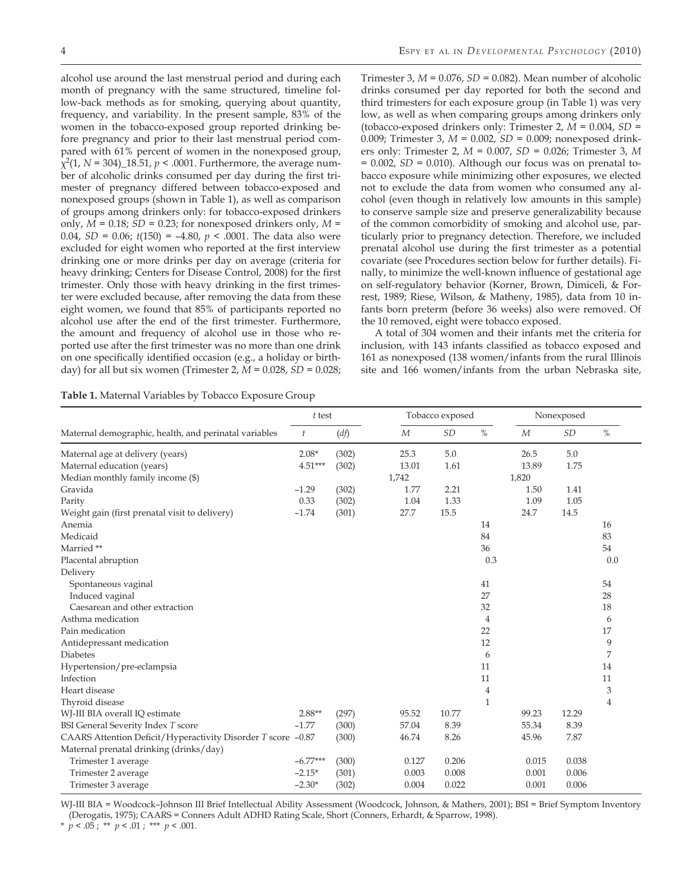alcohol use around the last menstrual period and during each month of pregnancy with the same structured, timeline follow-back methods as for smoking, querying about quantity, frequency, and variability. In the present sample, 83% of the women in the tobacco-exposed group reported drinking before pregnancy and prior to their last menstrual period compared with 61% percent of women in the nonexposed group,  $\chi^2(1, N = 304)$ <sup>18.51</sup>,  $p < .0001$ . Furthermore, the average number of alcoholic drinks consumed per day during the first trimester of pregnancy differed between tobacco-exposed and nonexposed groups (shown in Table 1), as well as comparison of groups among drinkers only: for tobacco-exposed drinkers only, *M =* 0.18; *SD =* 0.23; for nonexposed drinkers only, *M =* 0.04, *SD =* 0.06; *t*(150) = –4.80, *p* < .0001. The data also were excluded for eight women who reported at the first interview drinking one or more drinks per day on average (criteria for heavy drinking; Centers for Disease Control, 2008) for the first trimester. Only those with heavy drinking in the first trimester were excluded because, after removing the data from these eight women, we found that 85% of participants reported no alcohol use after the end of the first trimester. Furthermore, the amount and frequency of alcohol use in those who reported use after the first trimester was no more than one drink on one specifically identified occasion (e.g., a holiday or birthday) for all but six women (Trimester 2, *M =* 0.028, *SD =* 0.028;

Trimester 3, *M =* 0.076, *SD =* 0.082). Mean number of alcoholic drinks consumed per day reported for both the second and third trimesters for each exposure group (in Table 1) was very low, as well as when comparing groups among drinkers only (tobacco-exposed drinkers only: Trimester 2, *M =* 0.004, *SD =* 0.009; Trimester 3, *M =* 0.002, *SD =* 0.009; nonexposed drinkers only: Trimester 2, *M =* 0.007, *SD =* 0.026; Trimester 3, *M =* 0.002, *SD =* 0.010). Although our focus was on prenatal tobacco exposure while minimizing other exposures, we elected not to exclude the data from women who consumed any alcohol (even though in relatively low amounts in this sample) to conserve sample size and preserve generalizability because of the common comorbidity of smoking and alcohol use, particularly prior to pregnancy detection. Therefore, we included prenatal alcohol use during the first trimester as a potential covariate (see Procedures section below for further details). Finally, to minimize the well-known influence of gestational age on self-regulatory behavior (Korner, Brown, Dimiceli, & Forrest, 1989; Riese, Wilson, & Matheny, 1985), data from 10 infants born preterm (before 36 weeks) also were removed. Of the 10 removed, eight were tobacco exposed.

A total of 304 women and their infants met the criteria for inclusion, with 143 infants classified as tobacco exposed and 161 as nonexposed (138 women/infants from the rural Illinois site and 166 women/infants from the urban Nebraska site,

**Table 1.** Maternal Variables by Tobacco Exposure Group

|                                                              | $t$ test   |       |                | Tobacco exposed |                |                  | Nonexposed |                |
|--------------------------------------------------------------|------------|-------|----------------|-----------------|----------------|------------------|------------|----------------|
| Maternal demographic, health, and perinatal variables        | t          | (df)  | $\overline{M}$ | SD              | $\%$           | $\boldsymbol{M}$ | <b>SD</b>  | $\%$           |
| Maternal age at delivery (years)                             | $2.08*$    | (302) | 25.3           | 5.0             |                | 26.5             | 5.0        |                |
| Maternal education (years)                                   | $4.51***$  | (302) | 13.01          | 1.61            |                | 13.89            | 1.75       |                |
| Median monthly family income (\$)                            |            |       | 1,742          |                 |                | 1,820            |            |                |
| Gravida                                                      | $-1.29$    | (302) | 1.77           | 2.21            |                | 1.50             | 1.41       |                |
| Parity                                                       | 0.33       | (302) | 1.04           | 1.33            |                | 1.09             | 1.05       |                |
| Weight gain (first prenatal visit to delivery)               | $-1.74$    | (301) | 27.7           | 15.5            |                | 24.7             | 14.5       |                |
| Anemia                                                       |            |       |                |                 | 14             |                  |            | 16             |
| Medicaid                                                     |            |       |                |                 | 84             |                  |            | 83             |
| Married **                                                   |            |       |                |                 | 36             |                  |            | 54             |
| Placental abruption                                          |            |       |                |                 | 0.3            |                  |            | 0.0            |
| Delivery                                                     |            |       |                |                 |                |                  |            |                |
| Spontaneous vaginal                                          |            |       |                |                 | 41             |                  |            | 54             |
| Induced vaginal                                              |            |       |                |                 | 27             |                  |            | 28             |
| Caesarean and other extraction                               |            |       |                |                 | 32             |                  |            | 18             |
| Asthma medication                                            |            |       |                |                 | $\overline{4}$ |                  |            | 6              |
| Pain medication                                              |            |       |                |                 | 22             |                  |            | 17             |
| Antidepressant medication                                    |            |       |                |                 | 12             |                  |            | 9              |
| <b>Diabetes</b>                                              |            |       |                |                 | 6              |                  |            | 7              |
| Hypertension/pre-eclampsia                                   |            |       |                |                 | 11             |                  |            | 14             |
| Infection                                                    |            |       |                |                 | 11             |                  |            | 11             |
| Heart disease                                                |            |       |                |                 | $\overline{4}$ |                  |            | 3              |
| Thyroid disease                                              |            |       |                |                 | $\mathbf{1}$   |                  |            | $\overline{4}$ |
| WJ-III BIA overall IQ estimate                               | $2.88**$   | (297) | 95.52          | 10.77           |                | 99.23            | 12.29      |                |
| <b>BSI General Severity Index T score</b>                    | $-1.77$    | (300) | 57.04          | 8.39            |                | 55.34            | 8.39       |                |
| CAARS Attention Deficit/Hyperactivity Disorder T score -0.87 |            | (300) | 46.74          | 8.26            |                | 45.96            | 7.87       |                |
| Maternal prenatal drinking (drinks/day)                      |            |       |                |                 |                |                  |            |                |
| Trimester 1 average                                          | $-6.77***$ | (300) | 0.127          | 0.206           |                | 0.015            | 0.038      |                |
| Trimester 2 average                                          | $-2.15*$   | (301) | 0.003          | 0.008           |                | 0.001            | 0.006      |                |
| Trimester 3 average                                          | $-2.30*$   | (302) | 0.004          | 0.022           |                | 0.001            | 0.006      |                |

WJ-III BIA = Woodcock–Johnson III Brief Intellectual Ability Assessment (Woodcock, Johnson, & Mathers, 2001); BSI = Brief Symptom Inventory (Derogatis, 1975); CAARS = Conners Adult ADHD Rating Scale, Short (Conners, Erhardt, & Sparrow, 1998).

\*  $p < .05$ ; \*\*  $p < .01$ ; \*\*\*  $p < .001$ .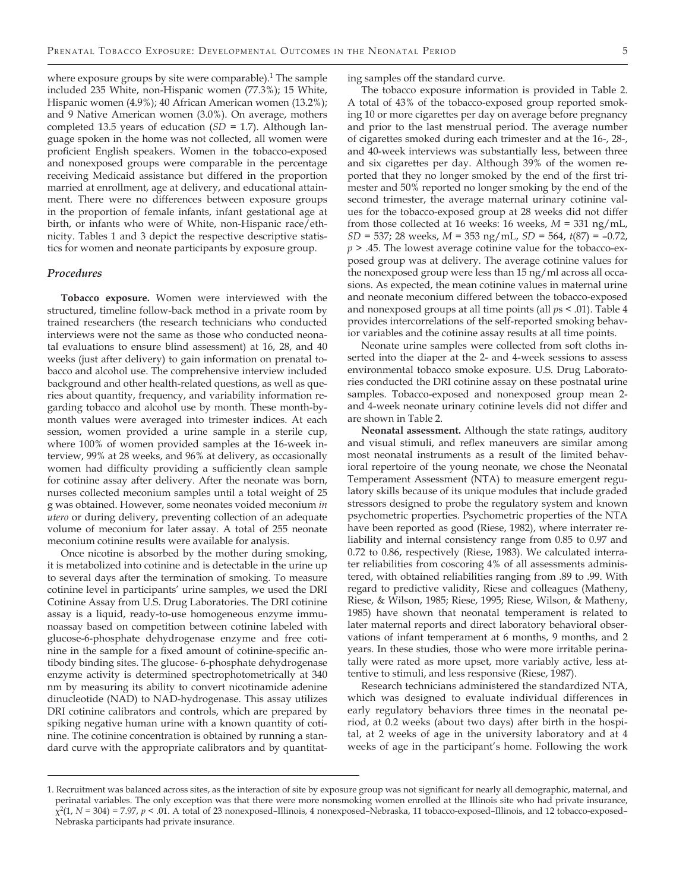where exposure groups by site were comparable). $1$  The sample included 235 White, non-Hispanic women (77.3%); 15 White, Hispanic women (4.9%); 40 African American women (13.2%); and 9 Native American women (3.0%). On average, mothers completed 13.5 years of education (*SD =* 1.7). Although language spoken in the home was not collected, all women were proficient English speakers. Women in the tobacco-exposed and nonexposed groups were comparable in the percentage receiving Medicaid assistance but differed in the proportion married at enrollment, age at delivery, and educational attainment. There were no differences between exposure groups in the proportion of female infants, infant gestational age at birth, or infants who were of White, non-Hispanic race/ethnicity. Tables 1 and 3 depict the respective descriptive statistics for women and neonate participants by exposure group.

#### *Procedures*

**Tobacco exposure.** Women were interviewed with the structured, timeline follow-back method in a private room by trained researchers (the research technicians who conducted interviews were not the same as those who conducted neonatal evaluations to ensure blind assessment) at 16, 28, and 40 weeks (just after delivery) to gain information on prenatal tobacco and alcohol use. The comprehensive interview included background and other health-related questions, as well as queries about quantity, frequency, and variability information regarding tobacco and alcohol use by month. These month-bymonth values were averaged into trimester indices. At each session, women provided a urine sample in a sterile cup, where 100% of women provided samples at the 16-week interview, 99% at 28 weeks, and 96% at delivery, as occasionally women had difficulty providing a sufficiently clean sample for cotinine assay after delivery. After the neonate was born, nurses collected meconium samples until a total weight of 25 g was obtained. However, some neonates voided meconium *in utero* or during delivery, preventing collection of an adequate volume of meconium for later assay. A total of 255 neonate meconium cotinine results were available for analysis.

Once nicotine is absorbed by the mother during smoking, it is metabolized into cotinine and is detectable in the urine up to several days after the termination of smoking. To measure cotinine level in participants' urine samples, we used the DRI Cotinine Assay from U.S. Drug Laboratories. The DRI cotinine assay is a liquid, ready-to-use homogeneous enzyme immunoassay based on competition between cotinine labeled with glucose-6-phosphate dehydrogenase enzyme and free cotinine in the sample for a fixed amount of cotinine-specific antibody binding sites. The glucose- 6-phosphate dehydrogenase enzyme activity is determined spectrophotometrically at 340 nm by measuring its ability to convert nicotinamide adenine dinucleotide (NAD) to NAD-hydrogenase. This assay utilizes DRI cotinine calibrators and controls, which are prepared by spiking negative human urine with a known quantity of cotinine. The cotinine concentration is obtained by running a standard curve with the appropriate calibrators and by quantitating samples off the standard curve.

The tobacco exposure information is provided in Table 2. A total of 43% of the tobacco-exposed group reported smoking 10 or more cigarettes per day on average before pregnancy and prior to the last menstrual period. The average number of cigarettes smoked during each trimester and at the 16-, 28-, and 40-week interviews was substantially less, between three and six cigarettes per day. Although 39% of the women reported that they no longer smoked by the end of the first trimester and 50% reported no longer smoking by the end of the second trimester, the average maternal urinary cotinine values for the tobacco-exposed group at 28 weeks did not differ from those collected at 16 weeks: 16 weeks, *M =* 331 ng/mL, *SD =* 537; 28 weeks, *M =* 353 ng/mL, *SD =* 564, *t*(87) = –0.72, *p* > .45. The lowest average cotinine value for the tobacco-exposed group was at delivery. The average cotinine values for the nonexposed group were less than 15 ng/ml across all occasions. As expected, the mean cotinine values in maternal urine and neonate meconium differed between the tobacco-exposed and nonexposed groups at all time points (all *p*s < .01). Table 4 provides intercorrelations of the self-reported smoking behavior variables and the cotinine assay results at all time points.

Neonate urine samples were collected from soft cloths inserted into the diaper at the 2- and 4-week sessions to assess environmental tobacco smoke exposure. U.S. Drug Laboratories conducted the DRI cotinine assay on these postnatal urine samples. Tobacco-exposed and nonexposed group mean 2 and 4-week neonate urinary cotinine levels did not differ and are shown in Table 2.

**Neonatal assessment.** Although the state ratings, auditory and visual stimuli, and reflex maneuvers are similar among most neonatal instruments as a result of the limited behavioral repertoire of the young neonate, we chose the Neonatal Temperament Assessment (NTA) to measure emergent regulatory skills because of its unique modules that include graded stressors designed to probe the regulatory system and known psychometric properties. Psychometric properties of the NTA have been reported as good (Riese, 1982), where interrater reliability and internal consistency range from 0.85 to 0.97 and 0.72 to 0.86, respectively (Riese, 1983). We calculated interrater reliabilities from coscoring 4% of all assessments administered, with obtained reliabilities ranging from .89 to .99. With regard to predictive validity, Riese and colleagues (Matheny, Riese, & Wilson, 1985; Riese, 1995; Riese, Wilson, & Matheny, 1985) have shown that neonatal temperament is related to later maternal reports and direct laboratory behavioral observations of infant temperament at 6 months, 9 months, and 2 years. In these studies, those who were more irritable perinatally were rated as more upset, more variably active, less attentive to stimuli, and less responsive (Riese, 1987).

Research technicians administered the standardized NTA, which was designed to evaluate individual differences in early regulatory behaviors three times in the neonatal period, at 0.2 weeks (about two days) after birth in the hospital, at 2 weeks of age in the university laboratory and at 4 weeks of age in the participant's home. Following the work

<sup>1.</sup> Recruitment was balanced across sites, as the interaction of site by exposure group was not significant for nearly all demographic, maternal, and perinatal variables. The only exception was that there were more nonsmoking women enrolled at the Illinois site who had private insurance, χ<sup>2</sup>(1, *N =* 304) = 7.97, *p* < .01. A total of 23 nonexposed–Illinois, 4 nonexposed–Nebraska, 11 tobacco-exposed–Illinois, and 12 tobacco-exposed– Nebraska participants had private insurance.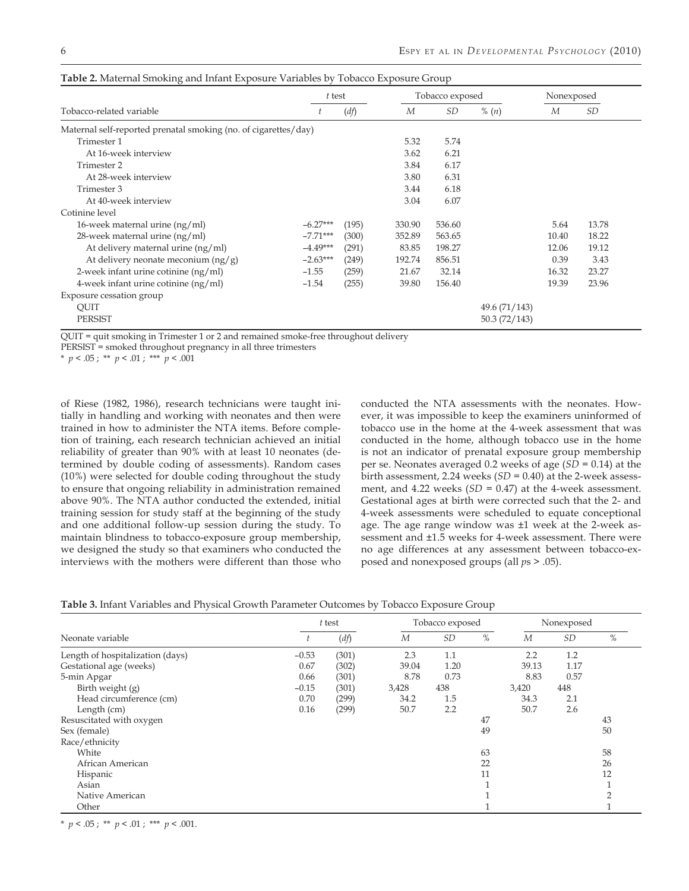|                                                                 | t test     |       |        | Tobacco exposed |               | Nonexposed |           |  |
|-----------------------------------------------------------------|------------|-------|--------|-----------------|---------------|------------|-----------|--|
| Tobacco-related variable                                        |            | (df)  | M      | SD              | % $(n)$       | M          | <i>SD</i> |  |
| Maternal self-reported prenatal smoking (no. of cigarettes/day) |            |       |        |                 |               |            |           |  |
| Trimester 1                                                     |            |       | 5.32   | 5.74            |               |            |           |  |
| At 16-week interview                                            |            |       | 3.62   | 6.21            |               |            |           |  |
| Trimester 2                                                     |            |       | 3.84   | 6.17            |               |            |           |  |
| At 28-week interview                                            |            |       | 3.80   | 6.31            |               |            |           |  |
| Trimester 3                                                     |            |       | 3.44   | 6.18            |               |            |           |  |
| At 40-week interview                                            |            |       | 3.04   | 6.07            |               |            |           |  |
| Cotinine level                                                  |            |       |        |                 |               |            |           |  |
| 16-week maternal urine $(ng/ml)$                                | $-6.27***$ | (195) | 330.90 | 536.60          |               | 5.64       | 13.78     |  |
| 28-week maternal urine (ng/ml)                                  | $-7.71***$ | (300) | 352.89 | 563.65          |               | 10.40      | 18.22     |  |
| At delivery maternal urine (ng/ml)                              | $-4.49***$ | (291) | 83.85  | 198.27          |               | 12.06      | 19.12     |  |
| At delivery neonate meconium $(ng/g)$                           | $-2.63***$ | (249) | 192.74 | 856.51          |               | 0.39       | 3.43      |  |
| 2-week infant urine cotinine $(ng/ml)$                          | $-1.55$    | (259) | 21.67  | 32.14           |               | 16.32      | 23.27     |  |
| 4-week infant urine cotinine $(ng/ml)$                          | $-1.54$    | (255) | 39.80  | 156.40          |               | 19.39      | 23.96     |  |
| Exposure cessation group                                        |            |       |        |                 |               |            |           |  |
| QUIT                                                            |            |       |        |                 | 49.6 (71/143) |            |           |  |
| <b>PERSIST</b>                                                  |            |       |        |                 | 50.3(72/143)  |            |           |  |

| <b>Table 2.</b> Maternal Smoking and Infant Exposure Variables by Tobacco Exposure Group |  |  |  |  |  |  |
|------------------------------------------------------------------------------------------|--|--|--|--|--|--|
|------------------------------------------------------------------------------------------|--|--|--|--|--|--|

QUIT = quit smoking in Trimester 1 or 2 and remained smoke-free throughout delivery

PERSIST = smoked throughout pregnancy in all three trimesters

\*  $p < .05$ ; \*\*  $p < .01$ ; \*\*\*  $p < .001$ 

of Riese (1982, 1986), research technicians were taught initially in handling and working with neonates and then were trained in how to administer the NTA items. Before completion of training, each research technician achieved an initial reliability of greater than 90% with at least 10 neonates (determined by double coding of assessments). Random cases (10%) were selected for double coding throughout the study to ensure that ongoing reliability in administration remained above 90%. The NTA author conducted the extended, initial training session for study staff at the beginning of the study and one additional follow-up session during the study. To maintain blindness to tobacco-exposure group membership, we designed the study so that examiners who conducted the interviews with the mothers were different than those who conducted the NTA assessments with the neonates. However, it was impossible to keep the examiners uninformed of tobacco use in the home at the 4-week assessment that was conducted in the home, although tobacco use in the home is not an indicator of prenatal exposure group membership per se. Neonates averaged 0.2 weeks of age (*SD =* 0.14) at the birth assessment, 2.24 weeks (*SD =* 0.40) at the 2-week assessment, and 4.22 weeks (*SD =* 0.47) at the 4-week assessment. Gestational ages at birth were corrected such that the 2- and 4-week assessments were scheduled to equate conceptional age. The age range window was ±1 week at the 2-week assessment and ±1.5 weeks for 4-week assessment. There were no age differences at any assessment between tobacco-exposed and nonexposed groups (all *p*s > .05).

| <b>Table 3.</b> Infant Variables and Physical Growth Parameter Outcomes by Tobacco Exposure Group |  |  |
|---------------------------------------------------------------------------------------------------|--|--|
|---------------------------------------------------------------------------------------------------|--|--|

|                                  |         | $t$ test |       | Tobacco exposed |      | Nonexposed |           |      |
|----------------------------------|---------|----------|-------|-----------------|------|------------|-----------|------|
| Neonate variable                 |         | (df)     | M     | SD              | $\%$ | M          | <b>SD</b> | $\%$ |
| Length of hospitalization (days) | $-0.53$ | (301)    | 2.3   | 1.1             |      | 2.2        | 1.2       |      |
| Gestational age (weeks)          | 0.67    | (302)    | 39.04 | 1.20            |      | 39.13      | 1.17      |      |
| 5-min Apgar                      | 0.66    | (301)    | 8.78  | 0.73            |      | 8.83       | 0.57      |      |
| Birth weight (g)                 | $-0.15$ | (301)    | 3,428 | 438             |      | 3,420      | 448       |      |
| Head circumference (cm)          | 0.70    | (299)    | 34.2  | 1.5             |      | 34.3       | 2.1       |      |
| Length (cm)                      | 0.16    | (299)    | 50.7  | 2.2             |      | 50.7       | 2.6       |      |
| Resuscitated with oxygen         |         |          |       |                 | 47   |            |           | 43   |
| Sex (female)                     |         |          |       |                 | 49   |            |           | 50   |
| Race/ethnicity                   |         |          |       |                 |      |            |           |      |
| White                            |         |          |       |                 | 63   |            |           | 58   |
| African American                 |         |          |       |                 | 22   |            |           | 26   |
| Hispanic                         |         |          |       |                 | 11   |            |           | 12   |
| Asian                            |         |          |       |                 |      |            |           |      |
| Native American                  |         |          |       |                 |      |            |           |      |
| Other                            |         |          |       |                 |      |            |           |      |

\*  $p < .05$ ; \*\*  $p < .01$ ; \*\*\*  $p < .001$ .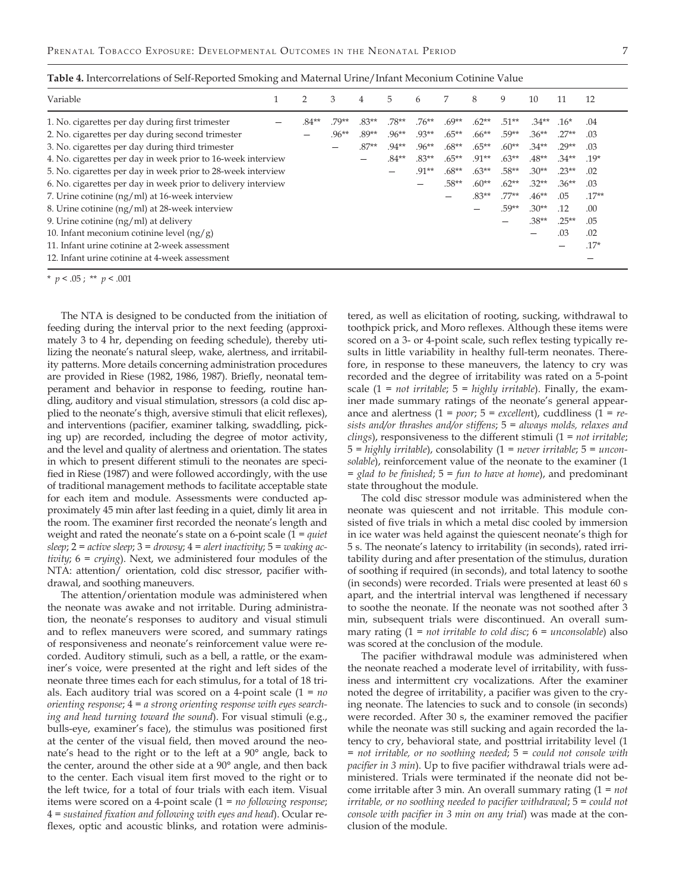|  | i |  |
|--|---|--|
|  |   |  |
|  |   |  |
|  |   |  |

| Table 4. Intercorrelations of Self-Reported Smoking and Maternal Urine/Infant Meconium Cotinine Value |  |
|-------------------------------------------------------------------------------------------------------|--|
|-------------------------------------------------------------------------------------------------------|--|

| Variable                                                      | 2     | 3        | 4       | 5        | 6        |          | 8        | 9       | 10       | 11       | 12      |
|---------------------------------------------------------------|-------|----------|---------|----------|----------|----------|----------|---------|----------|----------|---------|
| 1. No. cigarettes per day during first trimester              | .84** | .79**    | $.83**$ | $.78**$  | $.76***$ | $.69**$  | $.62**$  | $.51**$ | $.34**$  | $.16*$   | .04     |
| 2. No. cigarettes per day during second trimester             |       | $.96***$ | .89**   | $.96***$ | .93**    | $.65***$ | $.66***$ | .59**   | $.36***$ | $.27**$  | .03     |
| 3. No. cigarettes per day during third trimester              |       |          | $.87**$ | $.94**$  | $.96***$ | $.68**$  | $.65***$ | $.60**$ | $.34**$  | $.29**$  | .03     |
| 4. No. cigarettes per day in week prior to 16-week interview  |       |          |         | $.84***$ | $.83**$  | $.65***$ | $.91**$  | $.63**$ | $.48**$  | $.34**$  | $.19*$  |
| 5. No. cigarettes per day in week prior to 28-week interview  |       |          |         |          | $.91**$  | $.68**$  | $.63***$ | $.58**$ | $.30**$  | $.23**$  | .02     |
| 6. No. cigarettes per day in week prior to delivery interview |       |          |         |          |          | .58**    | $.60**$  | $.62**$ | $.32**$  | $.36***$ | .03     |
| 7. Urine cotinine (ng/ml) at 16-week interview                |       |          |         |          |          |          | $.83**$  | $.77**$ | $.46***$ | .05      | $.17**$ |
| 8. Urine cotinine (ng/ml) at 28-week interview                |       |          |         |          |          |          |          | $.59**$ | $.30**$  | .12      | .00     |
| 9. Urine cotinine $(ng/ml)$ at delivery                       |       |          |         |          |          |          |          |         | $.38**$  | $.25***$ | .05     |
| 10. Infant meconium cotinine level $(ng/g)$                   |       |          |         |          |          |          |          |         |          | .03      | .02     |
| 11. Infant urine cotinine at 2-week assessment                |       |          |         |          |          |          |          |         |          |          | $.17*$  |
| 12. Infant urine cotinine at 4-week assessment                |       |          |         |          |          |          |          |         |          |          |         |

\* *p* < .05 ; \*\* *p* < .001

The NTA is designed to be conducted from the initiation of feeding during the interval prior to the next feeding (approximately 3 to 4 hr, depending on feeding schedule), thereby utilizing the neonate's natural sleep, wake, alertness, and irritability patterns. More details concerning administration procedures are provided in Riese (1982, 1986, 1987). Briefly, neonatal temperament and behavior in response to feeding, routine handling, auditory and visual stimulation, stressors (a cold disc applied to the neonate's thigh, aversive stimuli that elicit reflexes), and interventions (pacifier, examiner talking, swaddling, picking up) are recorded, including the degree of motor activity, and the level and quality of alertness and orientation. The states in which to present different stimuli to the neonates are specified in Riese (1987) and were followed accordingly, with the use of traditional management methods to facilitate acceptable state for each item and module. Assessments were conducted approximately 45 min after last feeding in a quiet, dimly lit area in the room. The examiner first recorded the neonate's length and weight and rated the neonate's state on a 6-point scale (1 = *quiet sleep*; 2 = *active sleep*; 3 = *drowsy*; 4 = *alert inactivity*; 5 = *waking activity*; 6 = *crying*). Next, we administered four modules of the NTA: attention/ orientation, cold disc stressor, pacifier withdrawal, and soothing maneuvers.

The attention/orientation module was administered when the neonate was awake and not irritable. During administration, the neonate's responses to auditory and visual stimuli and to reflex maneuvers were scored, and summary ratings of responsiveness and neonate's reinforcement value were recorded. Auditory stimuli, such as a bell, a rattle, or the examiner's voice, were presented at the right and left sides of the neonate three times each for each stimulus, for a total of 18 trials. Each auditory trial was scored on a 4-point scale (1 = *no orienting response*; 4 = *a strong orienting response with eyes searching and head turning toward the sound*). For visual stimuli (e.g., bulls-eye, examiner's face), the stimulus was positioned first at the center of the visual field, then moved around the neonate's head to the right or to the left at a 90° angle, back to the center, around the other side at a 90° angle, and then back to the center. Each visual item first moved to the right or to the left twice, for a total of four trials with each item. Visual items were scored on a 4-point scale (1 = *no following response*; 4 = *sustained fixation and following with eyes and head*). Ocular reflexes, optic and acoustic blinks, and rotation were adminis-

tered, as well as elicitation of rooting, sucking, withdrawal to toothpick prick, and Moro reflexes. Although these items were scored on a 3- or 4-point scale, such reflex testing typically results in little variability in healthy full-term neonates. Therefore, in response to these maneuvers, the latency to cry was recorded and the degree of irritability was rated on a 5-point scale (1 = *not irritable*; 5 = *highly irritable*). Finally, the examiner made summary ratings of the neonate's general appearance and alertness (1 = *poor*; 5 = *excellen*t), cuddliness (1 = *resists and/or thrashes and/or stiffens*; 5 = *always molds, relaxes and clings*), responsiveness to the different stimuli (1 = *not irritable*; 5 = *highly irritable*), consolability (1 = *never irritable*; 5 = *unconsolable*), reinforcement value of the neonate to the examiner (1 = *glad to be finished*; 5 = *fun to have at home*), and predominant state throughout the module.

The cold disc stressor module was administered when the neonate was quiescent and not irritable. This module consisted of five trials in which a metal disc cooled by immersion in ice water was held against the quiescent neonate's thigh for 5 s. The neonate's latency to irritability (in seconds), rated irritability during and after presentation of the stimulus, duration of soothing if required (in seconds), and total latency to soothe (in seconds) were recorded. Trials were presented at least 60 s apart, and the intertrial interval was lengthened if necessary to soothe the neonate. If the neonate was not soothed after 3 min, subsequent trials were discontinued. An overall summary rating (1 = *not irritable to cold disc*; 6 = *unconsolable*) also was scored at the conclusion of the module.

The pacifier withdrawal module was administered when the neonate reached a moderate level of irritability, with fussiness and intermittent cry vocalizations. After the examiner noted the degree of irritability, a pacifier was given to the crying neonate. The latencies to suck and to console (in seconds) were recorded. After 30 s, the examiner removed the pacifier while the neonate was still sucking and again recorded the latency to cry, behavioral state, and posttrial irritability level (1 = *not irritable, or no soothing needed*; 5 = *could not console with pacifier in 3 min*). Up to five pacifier withdrawal trials were administered. Trials were terminated if the neonate did not become irritable after 3 min. An overall summary rating (1 = *not irritable, or no soothing needed to pacifier withdrawal*; 5 = *could not console with pacifier in 3 min on any trial*) was made at the conclusion of the module.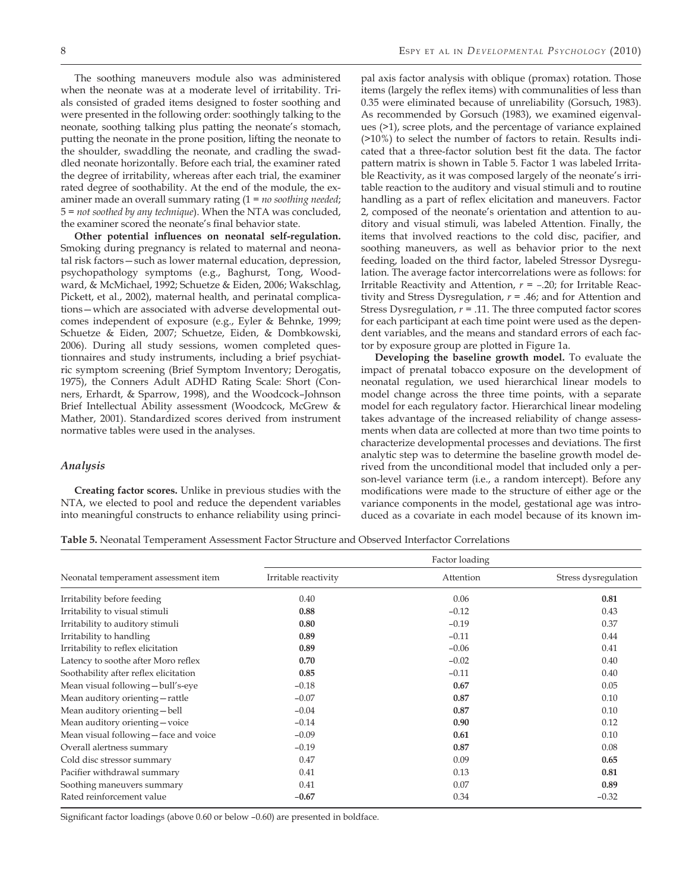The soothing maneuvers module also was administered when the neonate was at a moderate level of irritability. Trials consisted of graded items designed to foster soothing and were presented in the following order: soothingly talking to the neonate, soothing talking plus patting the neonate's stomach, putting the neonate in the prone position, lifting the neonate to the shoulder, swaddling the neonate, and cradling the swaddled neonate horizontally. Before each trial, the examiner rated the degree of irritability, whereas after each trial, the examiner rated degree of soothability. At the end of the module, the examiner made an overall summary rating (1 = *no soothing needed*; 5 = *not soothed by any technique*). When the NTA was concluded, the examiner scored the neonate's final behavior state.

**Other potential influences on neonatal self-regulation.**  Smoking during pregnancy is related to maternal and neonatal risk factors—such as lower maternal education, depression, psychopathology symptoms (e.g., Baghurst, Tong, Woodward, & McMichael, 1992; Schuetze & Eiden, 2006; Wakschlag, Pickett, et al., 2002), maternal health, and perinatal complications—which are associated with adverse developmental outcomes independent of exposure (e.g., Eyler & Behnke, 1999; Schuetze & Eiden, 2007; Schuetze, Eiden, & Dombkowski, 2006). During all study sessions, women completed questionnaires and study instruments, including a brief psychiatric symptom screening (Brief Symptom Inventory; Derogatis, 1975), the Conners Adult ADHD Rating Scale: Short (Conners, Erhardt, & Sparrow, 1998), and the Woodcock–Johnson Brief Intellectual Ability assessment (Woodcock, McGrew & Mather, 2001). Standardized scores derived from instrument normative tables were used in the analyses.

#### *Analysis*

**Creating factor scores.** Unlike in previous studies with the NTA, we elected to pool and reduce the dependent variables into meaningful constructs to enhance reliability using princi-

pal axis factor analysis with oblique (promax) rotation. Those items (largely the reflex items) with communalities of less than 0.35 were eliminated because of unreliability (Gorsuch, 1983). As recommended by Gorsuch (1983), we examined eigenvalues (>1), scree plots, and the percentage of variance explained (>10%) to select the number of factors to retain. Results indicated that a three-factor solution best fit the data. The factor pattern matrix is shown in Table 5. Factor 1 was labeled Irritable Reactivity, as it was composed largely of the neonate's irritable reaction to the auditory and visual stimuli and to routine handling as a part of reflex elicitation and maneuvers. Factor 2, composed of the neonate's orientation and attention to auditory and visual stimuli, was labeled Attention. Finally, the items that involved reactions to the cold disc, pacifier, and soothing maneuvers, as well as behavior prior to the next feeding, loaded on the third factor, labeled Stressor Dysregulation. The average factor intercorrelations were as follows: for Irritable Reactivity and Attention, *r = –*.20; for Irritable Reactivity and Stress Dysregulation, *r =* .46; and for Attention and Stress Dysregulation, *r =* .11. The three computed factor scores for each participant at each time point were used as the dependent variables, and the means and standard errors of each factor by exposure group are plotted in Figure 1a.

**Developing the baseline growth model.** To evaluate the impact of prenatal tobacco exposure on the development of neonatal regulation, we used hierarchical linear models to model change across the three time points, with a separate model for each regulatory factor. Hierarchical linear modeling takes advantage of the increased reliability of change assessments when data are collected at more than two time points to characterize developmental processes and deviations. The first analytic step was to determine the baseline growth model derived from the unconditional model that included only a person-level variance term (i.e., a random intercept). Before any modifications were made to the structure of either age or the variance components in the model, gestational age was introduced as a covariate in each model because of its known im-

**Table 5.** Neonatal Temperament Assessment Factor Structure and Observed Interfactor Correlations

|                                       |                      | Factor loading |                      |  |  |  |  |  |  |  |
|---------------------------------------|----------------------|----------------|----------------------|--|--|--|--|--|--|--|
| Neonatal temperament assessment item  | Irritable reactivity | Attention      | Stress dysregulation |  |  |  |  |  |  |  |
| Irritability before feeding           | 0.40                 | 0.06           | 0.81                 |  |  |  |  |  |  |  |
| Irritability to visual stimuli        | 0.88                 | $-0.12$        | 0.43                 |  |  |  |  |  |  |  |
| Irritability to auditory stimuli      | 0.80                 | $-0.19$        | 0.37                 |  |  |  |  |  |  |  |
| Irritability to handling              | 0.89                 | $-0.11$        | 0.44                 |  |  |  |  |  |  |  |
| Irritability to reflex elicitation    | 0.89                 | $-0.06$        | 0.41                 |  |  |  |  |  |  |  |
| Latency to soothe after Moro reflex   | 0.70                 | $-0.02$        | 0.40                 |  |  |  |  |  |  |  |
| Soothability after reflex elicitation | 0.85                 | $-0.11$        | 0.40                 |  |  |  |  |  |  |  |
| Mean visual following-bull's-eye      | $-0.18$              | 0.67           | 0.05                 |  |  |  |  |  |  |  |
| Mean auditory orienting - rattle      | $-0.07$              | 0.87           | 0.10                 |  |  |  |  |  |  |  |
| Mean auditory orienting-bell          | $-0.04$              | 0.87           | 0.10                 |  |  |  |  |  |  |  |
| Mean auditory orienting-voice         | $-0.14$              | 0.90           | 0.12                 |  |  |  |  |  |  |  |
| Mean visual following-face and voice  | $-0.09$              | 0.61           | 0.10                 |  |  |  |  |  |  |  |
| Overall alertness summary             | $-0.19$              | 0.87           | 0.08                 |  |  |  |  |  |  |  |
| Cold disc stressor summary            | 0.47                 | 0.09           | 0.65                 |  |  |  |  |  |  |  |
| Pacifier withdrawal summary           | 0.41                 | 0.13           | 0.81                 |  |  |  |  |  |  |  |
| Soothing maneuvers summary            | 0.41                 | 0.07           | 0.89                 |  |  |  |  |  |  |  |
| Rated reinforcement value             | $-0.67$              | 0.34           | $-0.32$              |  |  |  |  |  |  |  |

Significant factor loadings (above 0.60 or below –0.60) are presented in boldface.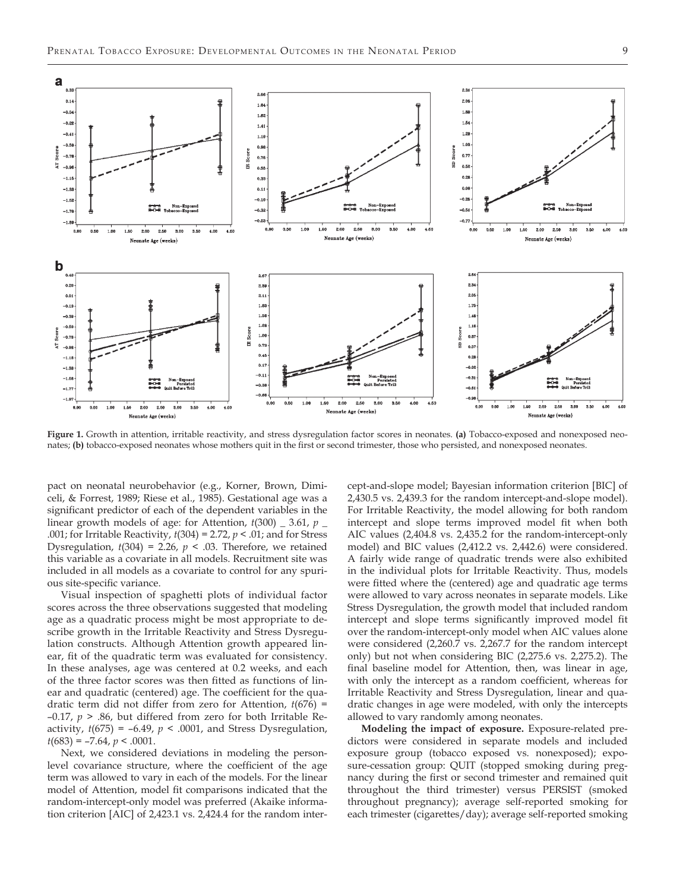

**Figure 1.** Growth in attention, irritable reactivity, and stress dysregulation factor scores in neonates. **(a)** Tobacco-exposed and nonexposed neonates; **(b)** tobacco-exposed neonates whose mothers quit in the first or second trimester, those who persisted, and nonexposed neonates.

pact on neonatal neurobehavior (e.g., Korner, Brown, Dimiceli, & Forrest, 1989; Riese et al., 1985). Gestational age was a significant predictor of each of the dependent variables in the linear growth models of age: for Attention, *t*(300) \_ 3.61, *p* \_ .001; for Irritable Reactivity, *t*(304) = 2.72, *p* < .01; and for Stress Dysregulation,  $t(304) = 2.26$ ,  $p < .03$ . Therefore, we retained this variable as a covariate in all models. Recruitment site was included in all models as a covariate to control for any spurious site-specific variance.

Visual inspection of spaghetti plots of individual factor scores across the three observations suggested that modeling age as a quadratic process might be most appropriate to describe growth in the Irritable Reactivity and Stress Dysregulation constructs. Although Attention growth appeared linear, fit of the quadratic term was evaluated for consistency. In these analyses, age was centered at 0.2 weeks, and each of the three factor scores was then fitted as functions of linear and quadratic (centered) age. The coefficient for the quadratic term did not differ from zero for Attention, *t*(676) = –0.17, *p* > .86, but differed from zero for both Irritable Reactivity, *t*(675) = –6.49, *p* < .0001, and Stress Dysregulation,  $t(683) = -7.64$ ,  $p < .0001$ .

Next, we considered deviations in modeling the personlevel covariance structure, where the coefficient of the age term was allowed to vary in each of the models. For the linear model of Attention, model fit comparisons indicated that the random-intercept-only model was preferred (Akaike information criterion [AIC] of 2,423.1 vs. 2,424.4 for the random intercept-and-slope model; Bayesian information criterion [BIC] of 2,430.5 vs. 2,439.3 for the random intercept-and-slope model). For Irritable Reactivity, the model allowing for both random intercept and slope terms improved model fit when both AIC values (2,404.8 vs. 2,435.2 for the random-intercept-only model) and BIC values (2,412.2 vs. 2,442.6) were considered. A fairly wide range of quadratic trends were also exhibited in the individual plots for Irritable Reactivity. Thus, models were fitted where the (centered) age and quadratic age terms were allowed to vary across neonates in separate models. Like Stress Dysregulation, the growth model that included random intercept and slope terms significantly improved model fit over the random-intercept-only model when AIC values alone were considered (2,260.7 vs. 2,267.7 for the random intercept only) but not when considering BIC (2,275.6 vs. 2,275.2). The final baseline model for Attention, then, was linear in age, with only the intercept as a random coefficient, whereas for Irritable Reactivity and Stress Dysregulation, linear and quadratic changes in age were modeled, with only the intercepts allowed to vary randomly among neonates.

**Modeling the impact of exposure.** Exposure-related predictors were considered in separate models and included exposure group (tobacco exposed vs. nonexposed); exposure-cessation group: QUIT (stopped smoking during pregnancy during the first or second trimester and remained quit throughout the third trimester) versus PERSIST (smoked throughout pregnancy); average self-reported smoking for each trimester (cigarettes/day); average self-reported smoking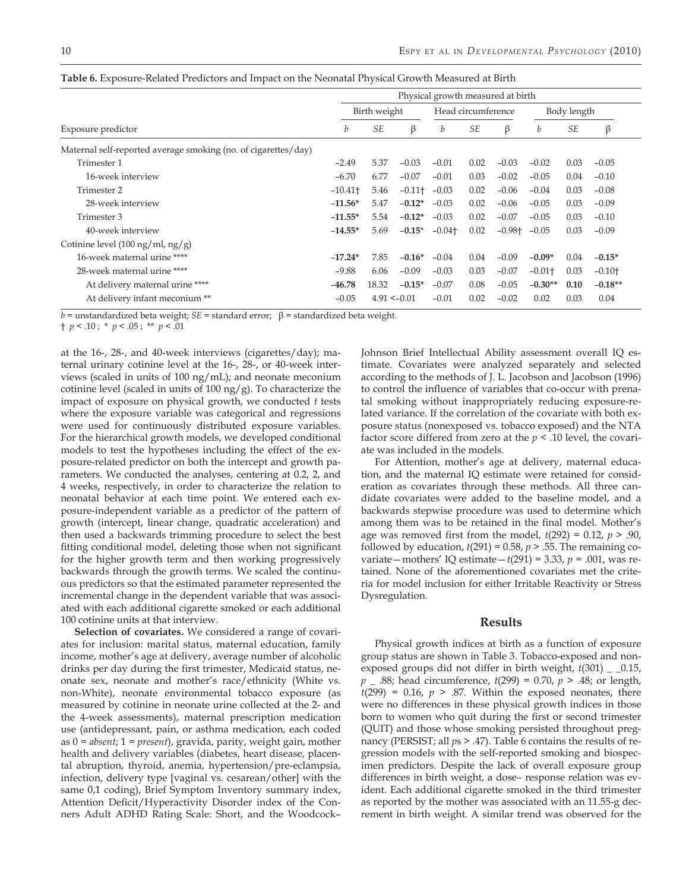|                                                                | Physical growth measured at birth |                |                      |                      |           |                      |                      |           |           |  |  |
|----------------------------------------------------------------|-----------------------------------|----------------|----------------------|----------------------|-----------|----------------------|----------------------|-----------|-----------|--|--|
|                                                                |                                   | Birth weight   | Head circumference   |                      |           | Body length          |                      |           |           |  |  |
| Exposure predictor                                             | b                                 | <b>SE</b>      | β                    | b                    | <b>SE</b> | β                    | b                    | <b>SE</b> | β         |  |  |
| Maternal self-reported average smoking (no. of cigarettes/day) |                                   |                |                      |                      |           |                      |                      |           |           |  |  |
| Trimester 1                                                    | $-2.49$                           | 5.37           | $-0.03$              | $-0.01$              | 0.02      | $-0.03$              | $-0.02$              | 0.03      | $-0.05$   |  |  |
| 16-week interview                                              | $-6.70$                           | 6.77           | $-0.07$              | $-0.01$              | 0.03      | $-0.02$              | $-0.05$              | 0.04      | $-0.10$   |  |  |
| Trimester 2                                                    | $-10.41$ <sup>+</sup>             | 5.46           | $-0.11$ <sup>+</sup> | $-0.03$              | 0.02      | $-0.06$              | $-0.04$              | 0.03      | $-0.08$   |  |  |
| 28-week interview                                              | $-11.56*$                         | 5.47           | $-0.12*$             | $-0.03$              | 0.02      | $-0.06$              | $-0.05$              | 0.03      | $-0.09$   |  |  |
| Trimester 3                                                    | $-11.55*$                         | 5.54           | $-0.12*$             | $-0.03$              | 0.02      | $-0.07$              | $-0.05$              | 0.03      | $-0.10$   |  |  |
| 40-week interview                                              | $-14.55*$                         | 5.69           | $-0.15*$             | $-0.04$ <sup>+</sup> | 0.02      | $-0.98$ <sup>+</sup> | $-0.05$              | 0.03      | $-0.09$   |  |  |
| Cotinine level (100 ng/ml, ng/g)                               |                                   |                |                      |                      |           |                      |                      |           |           |  |  |
| 16-week maternal urine ****                                    | $-17.24*$                         | 7.85           | $-0.16*$             | $-0.04$              | 0.04      | $-0.09$              | $-0.09*$             | 0.04      | $-0.15*$  |  |  |
| 28-week maternal urine ****                                    | $-9.88$                           | 6.06           | $-0.09$              | $-0.03$              | 0.03      | $-0.07$              | $-0.01$ <sup>+</sup> | 0.03      | $-0.10+$  |  |  |
| At delivery maternal urine ****                                | $-46.78$                          | 18.32          | $-0.15*$             | $-0.07$              | 0.08      | $-0.05$              | $-0.30**$            | 0.10      | $-0.18**$ |  |  |
| At delivery infant meconium **                                 | $-0.05$                           | $4.91 < -0.01$ |                      | $-0.01$              | 0.02      | $-0.02$              | 0.02                 | 0.03      | 0.04      |  |  |

**Table 6.** Exposure-Related Predictors and Impact on the Neonatal Physical Growth Measured at Birth

*b =* unstandardized beta weight; *SE =* standard error; β = standardized beta weight.

† *p* < .10 ; \* *p* < .05 ; \*\* *p* < .01

at the 16-, 28-, and 40-week interviews (cigarettes/day); maternal urinary cotinine level at the 16-, 28-, or 40-week interviews (scaled in units of 100 ng/mL); and neonate meconium cotinine level (scaled in units of 100 ng/g). To characterize the impact of exposure on physical growth, we conducted *t* tests where the exposure variable was categorical and regressions were used for continuously distributed exposure variables. For the hierarchical growth models, we developed conditional models to test the hypotheses including the effect of the exposure-related predictor on both the intercept and growth parameters. We conducted the analyses, centering at 0.2, 2, and 4 weeks, respectively, in order to characterize the relation to neonatal behavior at each time point. We entered each exposure-independent variable as a predictor of the pattern of growth (intercept, linear change, quadratic acceleration) and then used a backwards trimming procedure to select the best fitting conditional model, deleting those when not significant for the higher growth term and then working progressively backwards through the growth terms. We scaled the continuous predictors so that the estimated parameter represented the incremental change in the dependent variable that was associated with each additional cigarette smoked or each additional 100 cotinine units at that interview.

**Selection of covariates.** We considered a range of covariates for inclusion: marital status, maternal education, family income, mother's age at delivery, average number of alcoholic drinks per day during the first trimester, Medicaid status, neonate sex, neonate and mother's race/ethnicity (White vs. non-White), neonate environmental tobacco exposure (as measured by cotinine in neonate urine collected at the 2- and the 4-week assessments), maternal prescription medication use (antidepressant, pain, or asthma medication, each coded as 0 = *absent*; 1 = *present*), gravida, parity, weight gain, mother health and delivery variables (diabetes, heart disease, placental abruption, thyroid, anemia, hypertension/pre-eclampsia, infection, delivery type [vaginal vs. cesarean/other] with the same 0,1 coding), Brief Symptom Inventory summary index, Attention Deficit/Hyperactivity Disorder index of the Conners Adult ADHD Rating Scale: Short, and the Woodcock– Johnson Brief Intellectual Ability assessment overall IQ estimate. Covariates were analyzed separately and selected according to the methods of J. L. Jacobson and Jacobson (1996) to control the influence of variables that co-occur with prenatal smoking without inappropriately reducing exposure-related variance. If the correlation of the covariate with both exposure status (nonexposed vs. tobacco exposed) and the NTA factor score differed from zero at the *p* < .10 level, the covariate was included in the models.

For Attention, mother's age at delivery, maternal education, and the maternal IQ estimate were retained for consideration as covariates through these methods. All three candidate covariates were added to the baseline model, and a backwards stepwise procedure was used to determine which among them was to be retained in the final model. Mother's age was removed first from the model, *t*(292) = 0.12, *p* > .90, followed by education,  $t(291) = 0.58$ ,  $p > .55$ . The remaining covariate — mothers' IQ estimate —  $t(291) = 3.33$ ,  $p = .001$ , was retained. None of the aforementioned covariates met the criteria for model inclusion for either Irritable Reactivity or Stress Dysregulation.

#### **Results**

Physical growth indices at birth as a function of exposure group status are shown in Table 3. Tobacco-exposed and nonexposed groups did not differ in birth weight,  $t(301)$  \_ \_0.15, *p* \_ .88; head circumference, *t*(299) = 0.70, *p* > .48; or length,  $t(299) = 0.16$ ,  $p > .87$ . Within the exposed neonates, there were no differences in these physical growth indices in those born to women who quit during the first or second trimester (QUIT) and those whose smoking persisted throughout pregnancy (PERSIST; all  $ps > .47$ ). Table 6 contains the results of regression models with the self-reported smoking and biospecimen predictors. Despite the lack of overall exposure group differences in birth weight, a dose– response relation was evident. Each additional cigarette smoked in the third trimester as reported by the mother was associated with an 11.55-g decrement in birth weight. A similar trend was observed for the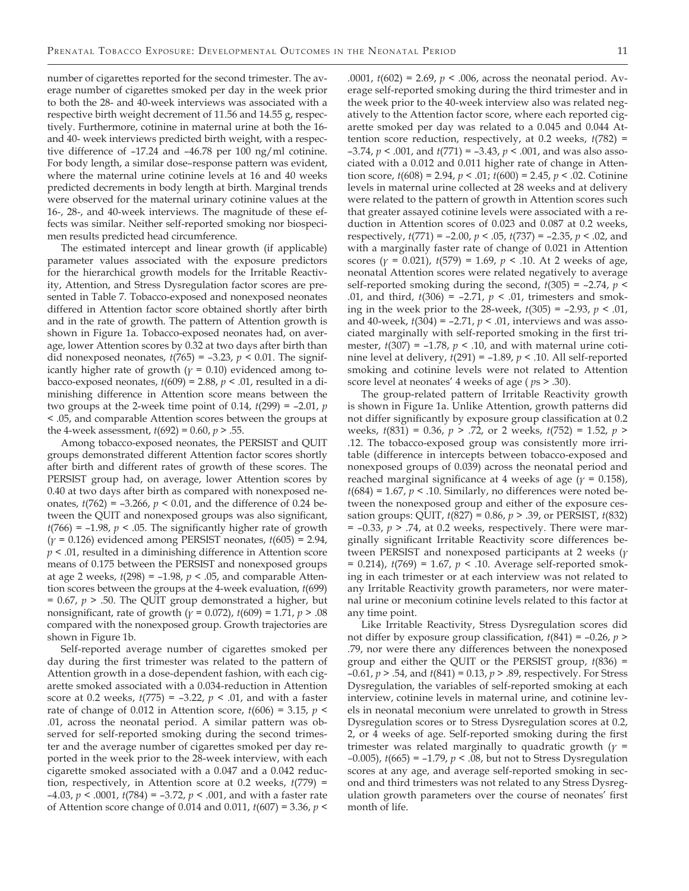number of cigarettes reported for the second trimester. The average number of cigarettes smoked per day in the week prior to both the 28- and 40-week interviews was associated with a respective birth weight decrement of 11.56 and 14.55 g, respectively. Furthermore, cotinine in maternal urine at both the 16 and 40- week interviews predicted birth weight, with a respective difference of –17.24 and –46.78 per 100 ng/ml cotinine. For body length, a similar dose–response pattern was evident, where the maternal urine cotinine levels at 16 and 40 weeks predicted decrements in body length at birth. Marginal trends were observed for the maternal urinary cotinine values at the 16-, 28-, and 40-week interviews. The magnitude of these effects was similar. Neither self-reported smoking nor biospecimen results predicted head circumference.

The estimated intercept and linear growth (if applicable) parameter values associated with the exposure predictors for the hierarchical growth models for the Irritable Reactivity, Attention, and Stress Dysregulation factor scores are presented in Table 7. Tobacco-exposed and nonexposed neonates differed in Attention factor score obtained shortly after birth and in the rate of growth. The pattern of Attention growth is shown in Figure 1a. Tobacco-exposed neonates had, on average, lower Attention scores by 0.32 at two days after birth than did nonexposed neonates,  $t(765) = -3.23$ ,  $p < 0.01$ . The significantly higher rate of growth ( $\gamma$  = 0.10) evidenced among tobacco-exposed neonates, *t*(609) = 2.88, *p* < .01, resulted in a diminishing difference in Attention score means between the two groups at the 2-week time point of 0.14, *t*(299) = –2.01, *p*  < .05, and comparable Attention scores between the groups at the 4-week assessment, *t*(692) = 0.60, *p* > .55.

Among tobacco-exposed neonates, the PERSIST and QUIT groups demonstrated different Attention factor scores shortly after birth and different rates of growth of these scores. The PERSIST group had, on average, lower Attention scores by 0.40 at two days after birth as compared with nonexposed neonates,  $t(762) = -3.266$ ,  $p < 0.01$ , and the difference of 0.24 between the QUIT and nonexposed groups was also significant,  $t(766) = -1.98$ ,  $p < .05$ . The significantly higher rate of growth (*γ =* 0.126) evidenced among PERSIST neonates, *t*(605) = 2.94, *p* < .01, resulted in a diminishing difference in Attention score means of 0.175 between the PERSIST and nonexposed groups at age 2 weeks, *t*(298) = –1.98, *p* < .05, and comparable Attention scores between the groups at the 4-week evaluation, *t*(699)  $= 0.67$ ,  $p > .50$ . The QUIT group demonstrated a higher, but nonsignificant, rate of growth (*γ =* 0.072), *t*(609) = 1.71, *p* > .08 compared with the nonexposed group. Growth trajectories are shown in Figure 1b.

Self-reported average number of cigarettes smoked per day during the first trimester was related to the pattern of Attention growth in a dose-dependent fashion, with each cigarette smoked associated with a 0.034-reduction in Attention score at 0.2 weeks, *t*(775) = –3.22, *p* < .01, and with a faster rate of change of 0.012 in Attention score, *t*(606) = 3.15, *p* < .01, across the neonatal period. A similar pattern was observed for self-reported smoking during the second trimester and the average number of cigarettes smoked per day reported in the week prior to the 28-week interview, with each cigarette smoked associated with a 0.047 and a 0.042 reduction, respectively, in Attention score at 0.2 weeks, *t*(779) = –4.03, *p* < .0001, *t*(784) = –3.72, *p* < .001, and with a faster rate of Attention score change of 0.014 and 0.011, *t*(607) = 3.36, *p* <

.0001, *t*(602) = 2.69, *p* < .006, across the neonatal period. Average self-reported smoking during the third trimester and in the week prior to the 40-week interview also was related negatively to the Attention factor score, where each reported cigarette smoked per day was related to a 0.045 and 0.044 Attention score reduction, respectively, at 0.2 weeks, *t*(782) = –3.74, *p* < .001, and *t*(771) = –3.43, *p* < .001, and was also associated with a 0.012 and 0.011 higher rate of change in Attention score, *t*(608) = 2.94, *p* < .01; *t*(600) = 2.45, *p* < .02. Cotinine levels in maternal urine collected at 28 weeks and at delivery were related to the pattern of growth in Attention scores such that greater assayed cotinine levels were associated with a reduction in Attention scores of 0.023 and 0.087 at 0.2 weeks, respectively, *t*(771) = –2.00, *p* < .05, *t*(737) = –2.35, *p* < .02, and with a marginally faster rate of change of 0.021 in Attention scores (*γ =* 0.021), *t*(579) = 1.69, *p* < .10. At 2 weeks of age, neonatal Attention scores were related negatively to average self-reported smoking during the second, *t*(305) = –2.74, *p* < .01, and third, *t*(306) = –2.71, *p* < .01, trimesters and smoking in the week prior to the 28-week, *t*(305) = –2.93, *p* < .01, and 40-week, *t*(304) = –2.71, *p* < .01, interviews and was associated marginally with self-reported smoking in the first trimester,  $t(307) = -1.78$ ,  $p < .10$ , and with maternal urine cotinine level at delivery, *t*(291) = –1.89, *p* < .10. All self-reported smoking and cotinine levels were not related to Attention score level at neonates' 4 weeks of age ( *p*s *>* .30).

The group-related pattern of Irritable Reactivity growth is shown in Figure 1a. Unlike Attention, growth patterns did not differ significantly by exposure group classification at 0.2 weeks, *t*(831) = 0.36, *p* > .72, or 2 weeks, *t*(752) = 1.52, *p* > .12. The tobacco-exposed group was consistently more irritable (difference in intercepts between tobacco-exposed and nonexposed groups of 0.039) across the neonatal period and reached marginal significance at 4 weeks of age (*γ =* 0.158),  $t(684) = 1.67$ ,  $p < .10$ . Similarly, no differences were noted between the nonexposed group and either of the exposure cessation groups: QUIT, *t*(827) = 0.86, *p* > .39, or PERSIST, *t*(832)  $=$   $-0.33, p$   $>$   $.74$ , at 0.2 weeks, respectively. There were marginally significant Irritable Reactivity score differences between PERSIST and nonexposed participants at 2 weeks (*γ =* 0.214), *t*(769) = 1.67, *p* < .10. Average self-reported smoking in each trimester or at each interview was not related to any Irritable Reactivity growth parameters, nor were maternal urine or meconium cotinine levels related to this factor at any time point.

Like Irritable Reactivity, Stress Dysregulation scores did not differ by exposure group classification, *t*(841) = –0.26, *p* > .79, nor were there any differences between the nonexposed group and either the QUIT or the PERSIST group, *t*(836) = –0.61, *p* > .54, and *t*(841) = 0.13, *p* > .89, respectively. For Stress Dysregulation, the variables of self-reported smoking at each interview, cotinine levels in maternal urine, and cotinine levels in neonatal meconium were unrelated to growth in Stress Dysregulation scores or to Stress Dysregulation scores at 0.2, 2, or 4 weeks of age. Self-reported smoking during the first trimester was related marginally to quadratic growth (*γ = –*0.005), *t*(665) = –1.79, *p* < .08, but not to Stress Dysregulation scores at any age, and average self-reported smoking in second and third trimesters was not related to any Stress Dysregulation growth parameters over the course of neonates' first month of life.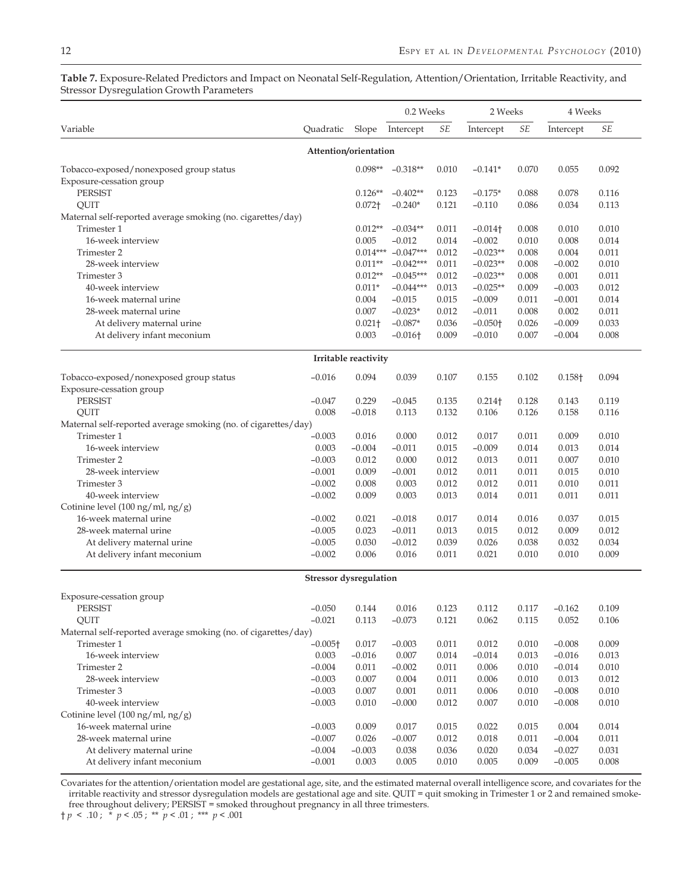|                                                                |                               |                      | 0.2 Weeks       |           | 2 Weeks               |           | 4 Weeks   |           |
|----------------------------------------------------------------|-------------------------------|----------------------|-----------------|-----------|-----------------------|-----------|-----------|-----------|
| Variable                                                       | Quadratic                     | Slope                | Intercept       | $\cal SE$ | Intercept             | $\cal SE$ | Intercept | $\cal SE$ |
|                                                                | Attention/orientation         |                      |                 |           |                       |           |           |           |
| Tobacco-exposed/nonexposed group status                        |                               | $0.098**$            | $-0.318**$      | 0.010     | $-0.141*$             | 0.070     | 0.055     | 0.092     |
| Exposure-cessation group                                       |                               |                      |                 |           |                       |           |           |           |
| <b>PERSIST</b>                                                 |                               | $0.126**$            | $-0.402**$      | 0.123     | $-0.175*$             | 0.088     | 0.078     | 0.116     |
| QUIT                                                           |                               | $0.072+$             | $-0.240*$       | 0.121     | $-0.110$              | 0.086     | 0.034     | 0.113     |
| Maternal self-reported average smoking (no. cigarettes/day)    |                               |                      |                 |           |                       |           |           |           |
| Trimester 1                                                    |                               | $0.012**$            | $-0.034**$      | 0.011     | $-0.014$ <sup>+</sup> | 0.008     | 0.010     | 0.010     |
| 16-week interview                                              |                               | 0.005                | $-0.012$        | 0.014     | $-0.002$              | 0.010     | 0.008     | 0.014     |
| Trimester 2                                                    |                               | $0.014***$           | $-0.047***$     | 0.012     | $-0.023**$            | 0.008     | 0.004     | 0.011     |
| 28-week interview                                              |                               | $0.011**$            | $-0.042***$     | 0.011     | $-0.023**$            | 0.008     | $-0.002$  | 0.010     |
| Trimester 3                                                    |                               | $0.012**$            | $-0.045***$     | 0.012     | $-0.023**$            | 0.008     | 0.001     | 0.011     |
| 40-week interview                                              |                               | $0.011*$             | $-0.044***$     | 0.013     | $-0.025**$            | 0.009     | $-0.003$  | 0.012     |
| 16-week maternal urine                                         |                               | 0.004                | $-0.015$        | 0.015     | $-0.009$              | 0.011     | $-0.001$  | 0.014     |
| 28-week maternal urine                                         |                               | 0.007                | $-0.023*$       | 0.012     | $-0.011$              | 0.008     | 0.002     | 0.011     |
| At delivery maternal urine                                     |                               | $0.021 +$            | $-0.087*$       | 0.036     | $-0.050$ <sup>+</sup> | 0.026     | $-0.009$  | 0.033     |
| At delivery infant meconium                                    |                               | 0.003                | $-0.016\dagger$ | 0.009     | $-0.010$              | 0.007     | $-0.004$  | 0.008     |
|                                                                |                               | Irritable reactivity |                 |           |                       |           |           |           |
| Tobacco-exposed/nonexposed group status                        | $-0.016$                      | 0.094                | 0.039           | 0.107     | 0.155                 | 0.102     | 0.158+    | 0.094     |
| Exposure-cessation group                                       |                               |                      |                 |           |                       |           |           |           |
| PERSIST                                                        | $-0.047$                      | 0.229                | $-0.045$        | 0.135     | $0.214$ <sup>+</sup>  | 0.128     | 0.143     | 0.119     |
| QUIT                                                           | 0.008                         | $-0.018$             | 0.113           | 0.132     | 0.106                 | 0.126     | 0.158     | 0.116     |
| Maternal self-reported average smoking (no. of cigarettes/day) |                               |                      |                 |           |                       |           |           |           |
| Trimester 1                                                    | $-0.003$                      | 0.016                | 0.000           | 0.012     | 0.017                 | 0.011     | 0.009     | 0.010     |
| 16-week interview                                              | 0.003                         | $-0.004$             | $-0.011$        | 0.015     | $-0.009$              | 0.014     | 0.013     | 0.014     |
| Trimester 2                                                    | $-0.003$                      | 0.012                | 0.000           | 0.012     | 0.013                 | 0.011     | 0.007     | 0.010     |
| 28-week interview                                              | $-0.001$                      | 0.009                | $-0.001$        | 0.012     | 0.011                 | 0.011     | 0.015     | 0.010     |
| Trimester 3                                                    | $-0.002$                      | 0.008                | 0.003           | 0.012     | 0.012                 | 0.011     | 0.010     | 0.011     |
| 40-week interview                                              | $-0.002$                      | 0.009                | 0.003           | 0.013     | 0.014                 | 0.011     | 0.011     | 0.011     |
| Cotinine level $(100 \text{ ng/ml}, \text{ng/g})$              |                               |                      |                 |           |                       |           |           |           |
| 16-week maternal urine                                         | $-0.002$                      | 0.021                | $-0.018$        | 0.017     | 0.014                 | 0.016     | 0.037     | 0.015     |
| 28-week maternal urine                                         | $-0.005$                      | 0.023                | $-0.011$        | 0.013     | 0.015                 | 0.012     | 0.009     | 0.012     |
| At delivery maternal urine                                     | $-0.005$                      | 0.030                | $-0.012$        | 0.039     | 0.026                 | 0.038     | 0.032     | 0.034     |
| At delivery infant meconium                                    | $-0.002$                      | 0.006                | 0.016           | 0.011     | 0.021                 | 0.010     | 0.010     | 0.009     |
|                                                                | <b>Stressor</b> dysregulation |                      |                 |           |                       |           |           |           |
| Exposure-cessation group                                       |                               |                      |                 |           |                       |           |           |           |
| PERSIST                                                        | $-0.050$                      | 0.144                | $0.016\,$       | 0.123     | 0.112                 | 0.117     | $-0.162$  | 0.109     |
| QUIT                                                           | $-0.021$                      | 0.113                | $-0.073$        | 0.121     | 0.062                 | 0.115     | 0.052     | 0.106     |
| Maternal self-reported average smoking (no. of cigarettes/day) |                               |                      |                 |           |                       |           |           |           |
| Trimester 1                                                    | $-0.005$ <sup>+</sup>         | 0.017                | $-0.003$        | 0.011     | 0.012                 | 0.010     | $-0.008$  | 0.009     |
| 16-week interview                                              | 0.003                         | $-0.016$             | 0.007           | 0.014     | $-0.014$              | 0.013     | $-0.016$  | 0.013     |
| Trimester 2                                                    | $-0.004$                      | 0.011                | $-0.002$        | 0.011     | 0.006                 | 0.010     | $-0.014$  | 0.010     |
| 28-week interview                                              | $-0.003$                      | 0.007                | 0.004           | 0.011     | 0.006                 | 0.010     | 0.013     | 0.012     |
| Trimester 3                                                    | $-0.003$                      | 0.007                | 0.001           | 0.011     | 0.006                 | 0.010     | $-0.008$  | 0.010     |
| 40-week interview                                              | $-0.003$                      | 0.010                | $-0.000$        | 0.012     | 0.007                 | 0.010     | $-0.008$  | 0.010     |
| Cotinine level (100 ng/ml, ng/g)                               |                               |                      |                 |           |                       |           |           |           |
| 16-week maternal urine                                         | $-0.003$                      | 0.009                | 0.017           | 0.015     | 0.022                 | 0.015     | 0.004     | 0.014     |
| 28-week maternal urine                                         | $-0.007$                      | 0.026                | $-0.007$        | 0.012     | 0.018                 | 0.011     | $-0.004$  | 0.011     |
| At delivery maternal urine                                     | $-0.004$                      | $-0.003$             | 0.038           | 0.036     | 0.020                 | 0.034     | $-0.027$  | 0.031     |
| At delivery infant meconium                                    | $-0.001$                      | 0.003                | 0.005           | 0.010     | 0.005                 | 0.009     | $-0.005$  | 0.008     |

**Table 7.** Exposure-Related Predictors and Impact on Neonatal Self-Regulation, Attention/Orientation, Irritable Reactivity, and Stressor Dysregulation Growth Parameters

Covariates for the attention/orientation model are gestational age, site, and the estimated maternal overall intelligence score, and covariates for the irritable reactivity and stressor dysregulation models are gestational age and site. QUIT = quit smoking in Trimester 1 or 2 and remained smokefree throughout delivery; PERSIST = smoked throughout pregnancy in all three trimesters.

 $\frac{1}{p}$  **c** .10;  $\frac{1}{p}$  **c** .05; \*\*  $p$  **c** .01; \*\*\*  $p$  **c** .001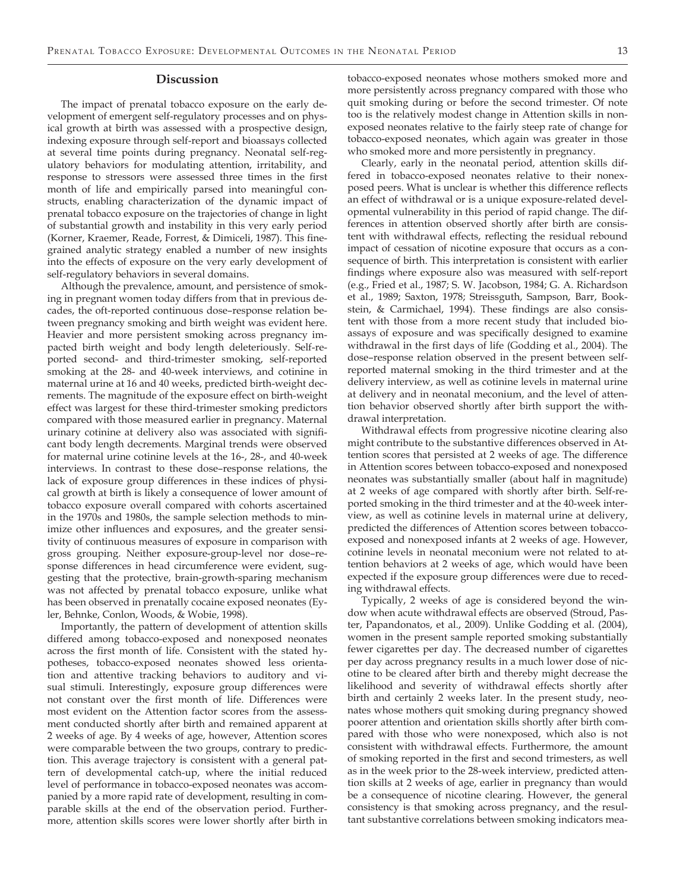#### **Discussion**

The impact of prenatal tobacco exposure on the early development of emergent self-regulatory processes and on physical growth at birth was assessed with a prospective design, indexing exposure through self-report and bioassays collected at several time points during pregnancy. Neonatal self-regulatory behaviors for modulating attention, irritability, and response to stressors were assessed three times in the first month of life and empirically parsed into meaningful constructs, enabling characterization of the dynamic impact of prenatal tobacco exposure on the trajectories of change in light of substantial growth and instability in this very early period (Korner, Kraemer, Reade, Forrest, & Dimiceli, 1987). This finegrained analytic strategy enabled a number of new insights into the effects of exposure on the very early development of self-regulatory behaviors in several domains.

Although the prevalence, amount, and persistence of smoking in pregnant women today differs from that in previous decades, the oft-reported continuous dose–response relation between pregnancy smoking and birth weight was evident here. Heavier and more persistent smoking across pregnancy impacted birth weight and body length deleteriously. Self-reported second- and third-trimester smoking, self-reported smoking at the 28- and 40-week interviews, and cotinine in maternal urine at 16 and 40 weeks, predicted birth-weight decrements. The magnitude of the exposure effect on birth-weight effect was largest for these third-trimester smoking predictors compared with those measured earlier in pregnancy. Maternal urinary cotinine at delivery also was associated with significant body length decrements. Marginal trends were observed for maternal urine cotinine levels at the 16-, 28-, and 40-week interviews. In contrast to these dose–response relations, the lack of exposure group differences in these indices of physical growth at birth is likely a consequence of lower amount of tobacco exposure overall compared with cohorts ascertained in the 1970s and 1980s, the sample selection methods to minimize other influences and exposures, and the greater sensitivity of continuous measures of exposure in comparison with gross grouping. Neither exposure-group-level nor dose–response differences in head circumference were evident, suggesting that the protective, brain-growth-sparing mechanism was not affected by prenatal tobacco exposure, unlike what has been observed in prenatally cocaine exposed neonates (Eyler, Behnke, Conlon, Woods, & Wobie, 1998).

Importantly, the pattern of development of attention skills differed among tobacco-exposed and nonexposed neonates across the first month of life. Consistent with the stated hypotheses, tobacco-exposed neonates showed less orientation and attentive tracking behaviors to auditory and visual stimuli. Interestingly, exposure group differences were not constant over the first month of life. Differences were most evident on the Attention factor scores from the assessment conducted shortly after birth and remained apparent at 2 weeks of age. By 4 weeks of age, however, Attention scores were comparable between the two groups, contrary to prediction. This average trajectory is consistent with a general pattern of developmental catch-up, where the initial reduced level of performance in tobacco-exposed neonates was accompanied by a more rapid rate of development, resulting in comparable skills at the end of the observation period. Furthermore, attention skills scores were lower shortly after birth in

tobacco-exposed neonates whose mothers smoked more and more persistently across pregnancy compared with those who quit smoking during or before the second trimester. Of note too is the relatively modest change in Attention skills in nonexposed neonates relative to the fairly steep rate of change for tobacco-exposed neonates, which again was greater in those who smoked more and more persistently in pregnancy.

Clearly, early in the neonatal period, attention skills differed in tobacco-exposed neonates relative to their nonexposed peers. What is unclear is whether this difference reflects an effect of withdrawal or is a unique exposure-related developmental vulnerability in this period of rapid change. The differences in attention observed shortly after birth are consistent with withdrawal effects, reflecting the residual rebound impact of cessation of nicotine exposure that occurs as a consequence of birth. This interpretation is consistent with earlier findings where exposure also was measured with self-report (e.g., Fried et al., 1987; S. W. Jacobson, 1984; G. A. Richardson et al., 1989; Saxton, 1978; Streissguth, Sampson, Barr, Bookstein, & Carmichael, 1994). These findings are also consistent with those from a more recent study that included bioassays of exposure and was specifically designed to examine withdrawal in the first days of life (Godding et al., 2004). The dose–response relation observed in the present between selfreported maternal smoking in the third trimester and at the delivery interview, as well as cotinine levels in maternal urine at delivery and in neonatal meconium, and the level of attention behavior observed shortly after birth support the withdrawal interpretation.

Withdrawal effects from progressive nicotine clearing also might contribute to the substantive differences observed in Attention scores that persisted at 2 weeks of age. The difference in Attention scores between tobacco-exposed and nonexposed neonates was substantially smaller (about half in magnitude) at 2 weeks of age compared with shortly after birth. Self-reported smoking in the third trimester and at the 40-week interview, as well as cotinine levels in maternal urine at delivery, predicted the differences of Attention scores between tobaccoexposed and nonexposed infants at 2 weeks of age. However, cotinine levels in neonatal meconium were not related to attention behaviors at 2 weeks of age, which would have been expected if the exposure group differences were due to receding withdrawal effects.

Typically, 2 weeks of age is considered beyond the window when acute withdrawal effects are observed (Stroud, Paster, Papandonatos, et al., 2009). Unlike Godding et al. (2004), women in the present sample reported smoking substantially fewer cigarettes per day. The decreased number of cigarettes per day across pregnancy results in a much lower dose of nicotine to be cleared after birth and thereby might decrease the likelihood and severity of withdrawal effects shortly after birth and certainly 2 weeks later. In the present study, neonates whose mothers quit smoking during pregnancy showed poorer attention and orientation skills shortly after birth compared with those who were nonexposed, which also is not consistent with withdrawal effects. Furthermore, the amount of smoking reported in the first and second trimesters, as well as in the week prior to the 28-week interview, predicted attention skills at 2 weeks of age, earlier in pregnancy than would be a consequence of nicotine clearing. However, the general consistency is that smoking across pregnancy, and the resultant substantive correlations between smoking indicators mea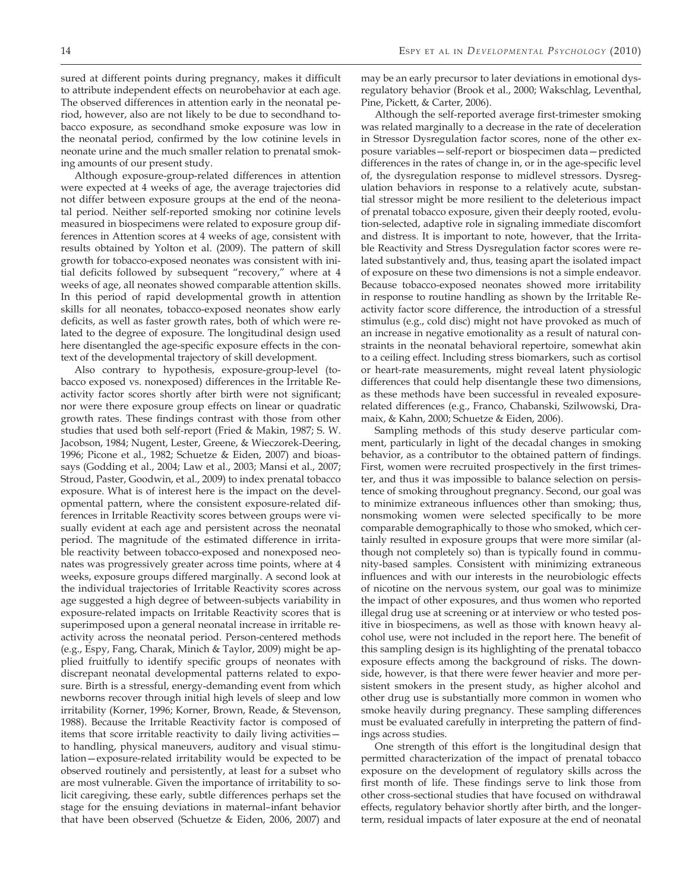sured at different points during pregnancy, makes it difficult to attribute independent effects on neurobehavior at each age. The observed differences in attention early in the neonatal period, however, also are not likely to be due to secondhand tobacco exposure, as secondhand smoke exposure was low in the neonatal period, confirmed by the low cotinine levels in neonate urine and the much smaller relation to prenatal smoking amounts of our present study.

Although exposure-group-related differences in attention were expected at 4 weeks of age, the average trajectories did not differ between exposure groups at the end of the neonatal period. Neither self-reported smoking nor cotinine levels measured in biospecimens were related to exposure group differences in Attention scores at 4 weeks of age, consistent with results obtained by Yolton et al. (2009). The pattern of skill growth for tobacco-exposed neonates was consistent with initial deficits followed by subsequent "recovery," where at 4 weeks of age, all neonates showed comparable attention skills. In this period of rapid developmental growth in attention skills for all neonates, tobacco-exposed neonates show early deficits, as well as faster growth rates, both of which were related to the degree of exposure. The longitudinal design used here disentangled the age-specific exposure effects in the context of the developmental trajectory of skill development.

Also contrary to hypothesis, exposure-group-level (tobacco exposed vs. nonexposed) differences in the Irritable Reactivity factor scores shortly after birth were not significant; nor were there exposure group effects on linear or quadratic growth rates. These findings contrast with those from other studies that used both self-report (Fried & Makin, 1987; S. W. Jacobson, 1984; Nugent, Lester, Greene, & Wieczorek-Deering, 1996; Picone et al., 1982; Schuetze & Eiden, 2007) and bioassays (Godding et al., 2004; Law et al., 2003; Mansi et al., 2007; Stroud, Paster, Goodwin, et al., 2009) to index prenatal tobacco exposure. What is of interest here is the impact on the developmental pattern, where the consistent exposure-related differences in Irritable Reactivity scores between groups were visually evident at each age and persistent across the neonatal period. The magnitude of the estimated difference in irritable reactivity between tobacco-exposed and nonexposed neonates was progressively greater across time points, where at 4 weeks, exposure groups differed marginally. A second look at the individual trajectories of Irritable Reactivity scores across age suggested a high degree of between-subjects variability in exposure-related impacts on Irritable Reactivity scores that is superimposed upon a general neonatal increase in irritable reactivity across the neonatal period. Person-centered methods (e.g., Espy, Fang, Charak, Minich & Taylor, 2009) might be applied fruitfully to identify specific groups of neonates with discrepant neonatal developmental patterns related to exposure. Birth is a stressful, energy-demanding event from which newborns recover through initial high levels of sleep and low irritability (Korner, 1996; Korner, Brown, Reade, & Stevenson, 1988). Because the Irritable Reactivity factor is composed of items that score irritable reactivity to daily living activities to handling, physical maneuvers, auditory and visual stimulation—exposure-related irritability would be expected to be observed routinely and persistently, at least for a subset who are most vulnerable. Given the importance of irritability to solicit caregiving, these early, subtle differences perhaps set the stage for the ensuing deviations in maternal–infant behavior that have been observed (Schuetze & Eiden, 2006, 2007) and

may be an early precursor to later deviations in emotional dysregulatory behavior (Brook et al., 2000; Wakschlag, Leventhal, Pine, Pickett, & Carter, 2006).

Although the self-reported average first-trimester smoking was related marginally to a decrease in the rate of deceleration in Stressor Dysregulation factor scores, none of the other exposure variables—self-report or biospecimen data—predicted differences in the rates of change in, or in the age-specific level of, the dysregulation response to midlevel stressors. Dysregulation behaviors in response to a relatively acute, substantial stressor might be more resilient to the deleterious impact of prenatal tobacco exposure, given their deeply rooted, evolution-selected, adaptive role in signaling immediate discomfort and distress. It is important to note, however, that the Irritable Reactivity and Stress Dysregulation factor scores were related substantively and, thus, teasing apart the isolated impact of exposure on these two dimensions is not a simple endeavor. Because tobacco-exposed neonates showed more irritability in response to routine handling as shown by the Irritable Reactivity factor score difference, the introduction of a stressful stimulus (e.g., cold disc) might not have provoked as much of an increase in negative emotionality as a result of natural constraints in the neonatal behavioral repertoire, somewhat akin to a ceiling effect. Including stress biomarkers, such as cortisol or heart-rate measurements, might reveal latent physiologic differences that could help disentangle these two dimensions, as these methods have been successful in revealed exposurerelated differences (e.g., Franco, Chabanski, Szilwowski, Dramaix, & Kahn, 2000; Schuetze & Eiden, 2006).

Sampling methods of this study deserve particular comment, particularly in light of the decadal changes in smoking behavior, as a contributor to the obtained pattern of findings. First, women were recruited prospectively in the first trimester, and thus it was impossible to balance selection on persistence of smoking throughout pregnancy. Second, our goal was to minimize extraneous influences other than smoking; thus, nonsmoking women were selected specifically to be more comparable demographically to those who smoked, which certainly resulted in exposure groups that were more similar (although not completely so) than is typically found in community-based samples. Consistent with minimizing extraneous influences and with our interests in the neurobiologic effects of nicotine on the nervous system, our goal was to minimize the impact of other exposures, and thus women who reported illegal drug use at screening or at interview or who tested positive in biospecimens, as well as those with known heavy alcohol use, were not included in the report here. The benefit of this sampling design is its highlighting of the prenatal tobacco exposure effects among the background of risks. The downside, however, is that there were fewer heavier and more persistent smokers in the present study, as higher alcohol and other drug use is substantially more common in women who smoke heavily during pregnancy. These sampling differences must be evaluated carefully in interpreting the pattern of findings across studies.

One strength of this effort is the longitudinal design that permitted characterization of the impact of prenatal tobacco exposure on the development of regulatory skills across the first month of life. These findings serve to link those from other cross-sectional studies that have focused on withdrawal effects, regulatory behavior shortly after birth, and the longerterm, residual impacts of later exposure at the end of neonatal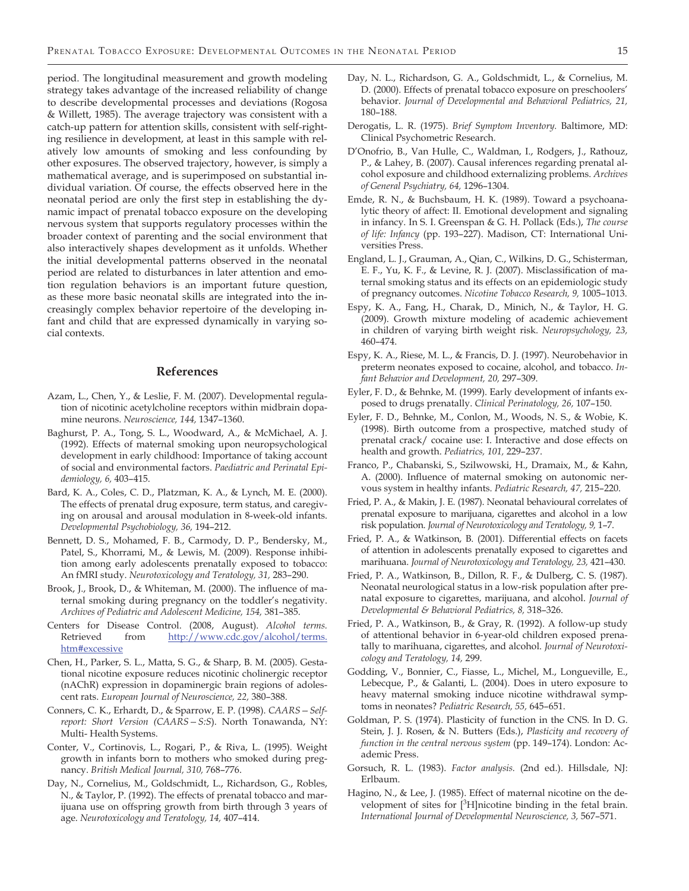period. The longitudinal measurement and growth modeling strategy takes advantage of the increased reliability of change to describe developmental processes and deviations (Rogosa & Willett, 1985). The average trajectory was consistent with a catch-up pattern for attention skills, consistent with self-righting resilience in development, at least in this sample with relatively low amounts of smoking and less confounding by other exposures. The observed trajectory, however, is simply a mathematical average, and is superimposed on substantial individual variation. Of course, the effects observed here in the neonatal period are only the first step in establishing the dynamic impact of prenatal tobacco exposure on the developing nervous system that supports regulatory processes within the broader context of parenting and the social environment that also interactively shapes development as it unfolds. Whether the initial developmental patterns observed in the neonatal period are related to disturbances in later attention and emotion regulation behaviors is an important future question, as these more basic neonatal skills are integrated into the increasingly complex behavior repertoire of the developing infant and child that are expressed dynamically in varying social contexts.

#### **References**

- Azam, L., Chen, Y., & Leslie, F. M. (2007). Developmental regulation of nicotinic acetylcholine receptors within midbrain dopamine neurons. *Neuroscience, 144,* 1347–1360.
- Baghurst, P. A., Tong, S. L., Woodward, A., & McMichael, A. J. (1992). Effects of maternal smoking upon neuropsychological development in early childhood: Importance of taking account of social and environmental factors. *Paediatric and Perinatal Epidemiology, 6,* 403–415.
- Bard, K. A., Coles, C. D., Platzman, K. A., & Lynch, M. E. (2000). The effects of prenatal drug exposure, term status, and caregiving on arousal and arousal modulation in 8-week-old infants. *Developmental Psychobiology, 36,* 194–212.
- Bennett, D. S., Mohamed, F. B., Carmody, D. P., Bendersky, M., Patel, S., Khorrami, M., & Lewis, M. (2009). Response inhibition among early adolescents prenatally exposed to tobacco: An fMRI study. *Neurotoxicology and Teratology, 31,* 283–290.
- Brook, J., Brook, D., & Whiteman, M. (2000). The influence of maternal smoking during pregnancy on the toddler's negativity. *Archives of Pediatric and Adolescent Medicine, 154,* 381–385.
- Centers for Disease Control. (2008, August). *Alcohol terms.*  Retrieved from http://www.cdc.gov/alcohol/terms. htm#excessive
- Chen, H., Parker, S. L., Matta, S. G., & Sharp, B. M. (2005). Gestational nicotine exposure reduces nicotinic cholinergic receptor (nAChR) expression in dopaminergic brain regions of adolescent rats. *European Journal of Neuroscience, 22,* 380–388.
- Conners, C. K., Erhardt, D., & Sparrow, E. P. (1998). *CAARS—Selfreport: Short Version (CAARS—S:S*). North Tonawanda, NY: Multi- Health Systems.
- Conter, V., Cortinovis, L., Rogari, P., & Riva, L. (1995). Weight growth in infants born to mothers who smoked during pregnancy. *British Medical Journal, 310,* 768–776.
- Day, N., Cornelius, M., Goldschmidt, L., Richardson, G., Robles, N., & Taylor, P. (1992). The effects of prenatal tobacco and marijuana use on offspring growth from birth through 3 years of age. *Neurotoxicology and Teratology, 14,* 407–414.
- Day, N. L., Richardson, G. A., Goldschmidt, L., & Cornelius, M. D. (2000). Effects of prenatal tobacco exposure on preschoolers' behavior. *Journal of Developmental and Behavioral Pediatrics, 21,*  180–188.
- Derogatis, L. R. (1975). *Brief Symptom Inventory.* Baltimore, MD: Clinical Psychometric Research.
- D'Onofrio, B., Van Hulle, C., Waldman, I., Rodgers, J., Rathouz, P., & Lahey, B. (2007). Causal inferences regarding prenatal alcohol exposure and childhood externalizing problems. *Archives of General Psychiatry, 64,* 1296–1304.
- Emde, R. N., & Buchsbaum, H. K. (1989). Toward a psychoanalytic theory of affect: II. Emotional development and signaling in infancy. In S. I. Greenspan & G. H. Pollack (Eds.), *The course of life: Infancy* (pp. 193–227). Madison, CT: International Universities Press.
- England, L. J., Grauman, A., Qian, C., Wilkins, D. G., Schisterman, E. F., Yu, K. F., & Levine, R. J. (2007). Misclassification of maternal smoking status and its effects on an epidemiologic study of pregnancy outcomes. *Nicotine Tobacco Research, 9,* 1005–1013.
- Espy, K. A., Fang, H., Charak, D., Minich, N., & Taylor, H. G. (2009). Growth mixture modeling of academic achievement in children of varying birth weight risk. *Neuropsychology, 23,*  460–474.
- Espy, K. A., Riese, M. L., & Francis, D. J. (1997). Neurobehavior in preterm neonates exposed to cocaine, alcohol, and tobacco. *Infant Behavior and Development, 20,* 297–309.
- Eyler, F. D., & Behnke, M. (1999). Early development of infants exposed to drugs prenatally. *Clinical Perinatology, 26,* 107–150.
- Eyler, F. D., Behnke, M., Conlon, M., Woods, N. S., & Wobie, K. (1998). Birth outcome from a prospective, matched study of prenatal crack/ cocaine use: I. Interactive and dose effects on health and growth. *Pediatrics, 101,* 229–237.
- Franco, P., Chabanski, S., Szilwowski, H., Dramaix, M., & Kahn, A. (2000). Influence of maternal smoking on autonomic nervous system in healthy infants. *Pediatric Research, 47,* 215–220.
- Fried, P. A., & Makin, J. E. (1987). Neonatal behavioural correlates of prenatal exposure to marijuana, cigarettes and alcohol in a low risk population. *Journal of Neurotoxicology and Teratology, 9,* 1–7.
- Fried, P. A., & Watkinson, B. (2001). Differential effects on facets of attention in adolescents prenatally exposed to cigarettes and marihuana. *Journal of Neurotoxicology and Teratology, 23,* 421–430.
- Fried, P. A., Watkinson, B., Dillon, R. F., & Dulberg, C. S. (1987). Neonatal neurological status in a low-risk population after prenatal exposure to cigarettes, marijuana, and alcohol. *Journal of Developmental & Behavioral Pediatrics, 8,* 318–326.
- Fried, P. A., Watkinson, B., & Gray, R. (1992). A follow-up study of attentional behavior in 6-year-old children exposed prenatally to marihuana, cigarettes, and alcohol. *Journal of Neurotoxicology and Teratology, 14,* 299.
- Godding, V., Bonnier, C., Fiasse, L., Michel, M., Longueville, E., Lebecque, P., & Galanti, L. (2004). Does in utero exposure to heavy maternal smoking induce nicotine withdrawal symptoms in neonates? *Pediatric Research, 55,* 645–651.
- Goldman, P. S. (1974). Plasticity of function in the CNS. In D. G. Stein, J. J. Rosen, & N. Butters (Eds.), *Plasticity and recovery of function in the central nervous system* (pp. 149–174). London: Academic Press.
- Gorsuch, R. L. (1983). *Factor analysis.* (2nd ed.). Hillsdale, NJ: Erlbaum.
- Hagino, N., & Lee, J. (1985). Effect of maternal nicotine on the development of sites for [3H]nicotine binding in the fetal brain. *International Journal of Developmental Neuroscience, 3,* 567–571.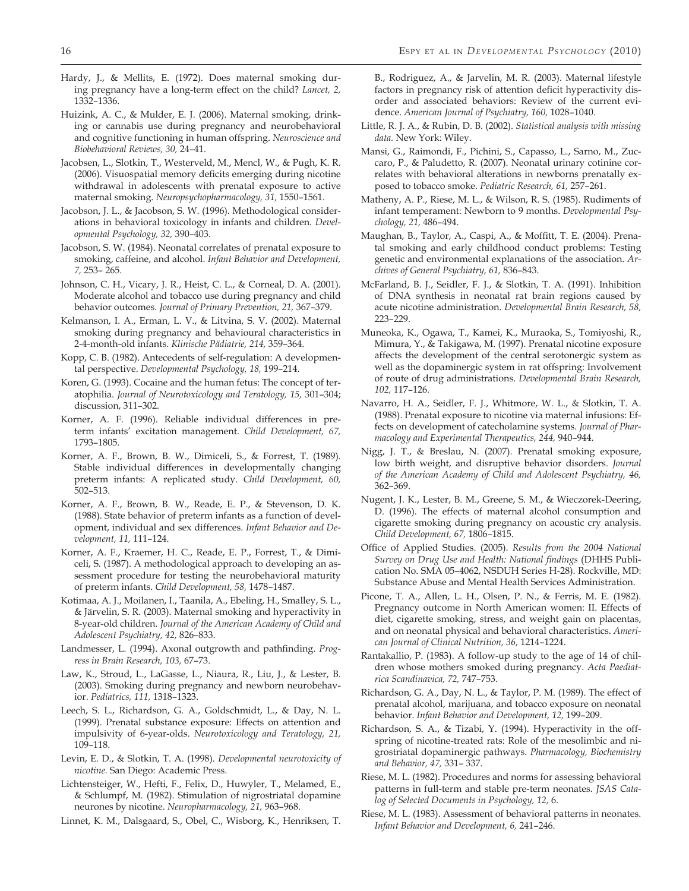- Hardy, J., & Mellits, E. (1972). Does maternal smoking during pregnancy have a long-term effect on the child? *Lancet, 2,*  1332–1336.
- Huizink, A. C., & Mulder, E. J. (2006). Maternal smoking, drinking or cannabis use during pregnancy and neurobehavioral and cognitive functioning in human offspring. *Neuroscience and Biobehavioral Reviews, 30,* 24–41.
- Jacobsen, L., Slotkin, T., Westerveld, M., Mencl, W., & Pugh, K. R. (2006). Visuospatial memory deficits emerging during nicotine withdrawal in adolescents with prenatal exposure to active maternal smoking. *Neuropsychopharmacology, 31,* 1550–1561.
- Jacobson, J. L., & Jacobson, S. W. (1996). Methodological considerations in behavioral toxicology in infants and children. *Developmental Psychology, 32,* 390–403.
- Jacobson, S. W. (1984). Neonatal correlates of prenatal exposure to smoking, caffeine, and alcohol. *Infant Behavior and Development, 7,* 253– 265.
- Johnson, C. H., Vicary, J. R., Heist, C. L., & Corneal, D. A. (2001). Moderate alcohol and tobacco use during pregnancy and child behavior outcomes. *Journal of Primary Prevention, 21,* 367–379.
- Kelmanson, I. A., Erman, L. V., & Litvina, S. V. (2002). Maternal smoking during pregnancy and behavioural characteristics in 2-4-month-old infants. *Klinische Pädiatrie, 214,* 359–364.
- Kopp, C. B. (1982). Antecedents of self-regulation: A developmental perspective. *Developmental Psychology, 18,* 199–214.
- Koren, G. (1993). Cocaine and the human fetus: The concept of teratophilia. *Journal of Neurotoxicology and Teratology, 15,* 301–304; discussion, 311–302.
- Korner, A. F. (1996). Reliable individual differences in preterm infants' excitation management. *Child Development, 67,*  1793–1805.
- Korner, A. F., Brown, B. W., Dimiceli, S., & Forrest, T. (1989). Stable individual differences in developmentally changing preterm infants: A replicated study. *Child Development, 60,*  502–513.
- Korner, A. F., Brown, B. W., Reade, E. P., & Stevenson, D. K. (1988). State behavior of preterm infants as a function of development, individual and sex differences. *Infant Behavior and Development, 11,* 111–124.
- Korner, A. F., Kraemer, H. C., Reade, E. P., Forrest, T., & Dimiceli, S. (1987). A methodological approach to developing an assessment procedure for testing the neurobehavioral maturity of preterm infants. *Child Development, 58,* 1478–1487.
- Kotimaa, A. J., Moilanen, I., Taanila, A., Ebeling, H., Smalley, S. L., & Järvelin, S. R. (2003). Maternal smoking and hyperactivity in 8-year-old children. *Journal of the American Academy of Child and Adolescent Psychiatry, 42,* 826–833.
- Landmesser, L. (1994). Axonal outgrowth and pathfinding. *Progress in Brain Research, 103,* 67–73.
- Law, K., Stroud, L., LaGasse, L., Niaura, R., Liu, J., & Lester, B. (2003). Smoking during pregnancy and newborn neurobehavior. *Pediatrics, 111,* 1318–1323.
- Leech, S. L., Richardson, G. A., Goldschmidt, L., & Day, N. L. (1999). Prenatal substance exposure: Effects on attention and impulsivity of 6-year-olds. *Neurotoxicology and Teratology, 21,*  109–118.
- Levin, E. D., & Slotkin, T. A. (1998). *Developmental neurotoxicity of nicotine.* San Diego: Academic Press.
- Lichtensteiger, W., Hefti, F., Felix, D., Huwyler, T., Melamed, E., & Schlumpf, M. (1982). Stimulation of nigrostriatal dopamine neurones by nicotine. *Neuropharmacology, 21,* 963–968.
- Linnet, K. M., Dalsgaard, S., Obel, C., Wisborg, K., Henriksen, T.

B., Rodriguez, A., & Jarvelin, M. R. (2003). Maternal lifestyle factors in pregnancy risk of attention deficit hyperactivity disorder and associated behaviors: Review of the current evidence. *American Journal of Psychiatry, 160,* 1028–1040.

- Little, R. J. A., & Rubin, D. B. (2002). *Statistical analysis with missing data.* New York: Wiley.
- Mansi, G., Raimondi, F., Pichini, S., Capasso, L., Sarno, M., Zuccaro, P., & Paludetto, R. (2007). Neonatal urinary cotinine correlates with behavioral alterations in newborns prenatally exposed to tobacco smoke. *Pediatric Research, 61,* 257–261.
- Matheny, A. P., Riese, M. L., & Wilson, R. S. (1985). Rudiments of infant temperament: Newborn to 9 months. *Developmental Psychology, 21,* 486–494.
- Maughan, B., Taylor, A., Caspi, A., & Moffitt, T. E. (2004). Prenatal smoking and early childhood conduct problems: Testing genetic and environmental explanations of the association. *Archives of General Psychiatry, 61,* 836–843.
- McFarland, B. J., Seidler, F. J., & Slotkin, T. A. (1991). Inhibition of DNA synthesis in neonatal rat brain regions caused by acute nicotine administration. *Developmental Brain Research, 58,*  223–229.
- Muneoka, K., Ogawa, T., Kamei, K., Muraoka, S., Tomiyoshi, R., Mimura, Y., & Takigawa, M. (1997). Prenatal nicotine exposure affects the development of the central serotonergic system as well as the dopaminergic system in rat offspring: Involvement of route of drug administrations. *Developmental Brain Research, 102,* 117–126.
- Navarro, H. A., Seidler, F. J., Whitmore, W. L., & Slotkin, T. A. (1988). Prenatal exposure to nicotine via maternal infusions: Effects on development of catecholamine systems. *Journal of Pharmacology and Experimental Therapeutics, 244,* 940–944.
- Nigg, J. T., & Breslau, N. (2007). Prenatal smoking exposure, low birth weight, and disruptive behavior disorders. *Journal of the American Academy of Child and Adolescent Psychiatry, 46,*  362–369.
- Nugent, J. K., Lester, B. M., Greene, S. M., & Wieczorek-Deering, D. (1996). The effects of maternal alcohol consumption and cigarette smoking during pregnancy on acoustic cry analysis. *Child Development, 67,* 1806–1815.
- Office of Applied Studies. (2005). *Results from the 2004 National Survey on Drug Use and Health: National findings* (DHHS Publication No. SMA 05–4062, NSDUH Series H-28). Rockville, MD: Substance Abuse and Mental Health Services Administration.
- Picone, T. A., Allen, L. H., Olsen, P. N., & Ferris, M. E. (1982). Pregnancy outcome in North American women: II. Effects of diet, cigarette smoking, stress, and weight gain on placentas, and on neonatal physical and behavioral characteristics. *American Journal of Clinical Nutrition, 36,* 1214–1224.
- Rantakallio, P. (1983). A follow-up study to the age of 14 of children whose mothers smoked during pregnancy. *Acta Paediatrica Scandinavica, 72,* 747–753.
- Richardson, G. A., Day, N. L., & Taylor, P. M. (1989). The effect of prenatal alcohol, marijuana, and tobacco exposure on neonatal behavior. *Infant Behavior and Development, 12,* 199–209.
- Richardson, S. A., & Tizabi, Y. (1994). Hyperactivity in the offspring of nicotine-treated rats: Role of the mesolimbic and nigrostriatal dopaminergic pathways. *Pharmacology, Biochemistry and Behavior, 47,* 331– 337.
- Riese, M. L. (1982). Procedures and norms for assessing behavioral patterns in full-term and stable pre-term neonates. *JSAS Catalog of Selected Documents in Psychology, 12,* 6.
- Riese, M. L. (1983). Assessment of behavioral patterns in neonates. *Infant Behavior and Development, 6,* 241–246.